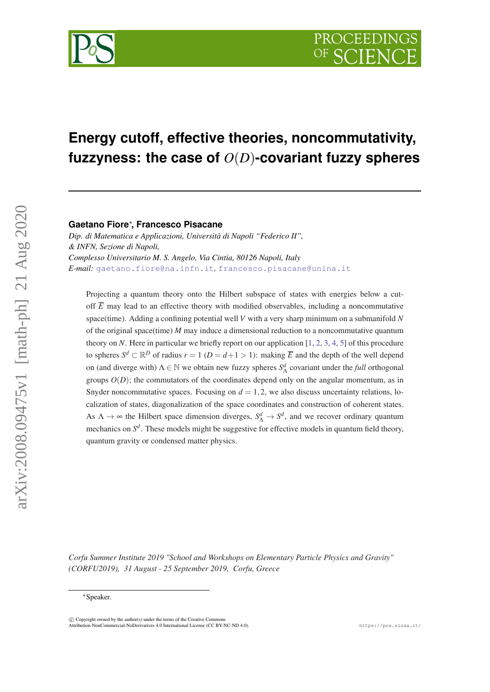

# **Energy cutoff, effective theories, noncommutativity, fuzzyness: the case of** *O*(*D*)**-covariant fuzzy spheres**

### **Gaetano Fiore**<sup>∗</sup> **, Francesco Pisacane**

*Dip. di Matematica e Applicazioni, Università di Napoli "Federico II", & INFN, Sezione di Napoli, Complesso Universitario M. S. Angelo, Via Cintia, 80126 Napoli, Italy E-mail:* [gaetano.fiore@na.infn.it](mailto:gaetano.fiore@na.infn.it)*,* [francesco.pisacane@unina.it](mailto:francesco.pisacane@unina.it)

Projecting a quantum theory onto the Hilbert subspace of states with energies below a cutoff  $\overline{E}$  may lead to an effective theory with modified observables, including a noncommutative space(time). Adding a confining potential well *V* with a very sharp minimum on a submanifold *N* of the original space(time) *M* may induce a dimensional reduction to a noncommutative quantum theory on *N*. Here in particular we briefly report on our application [\[1](#page-20-0), [2](#page-20-0), [3,](#page-20-0) [4](#page-20-0), [5](#page-20-0)] of this procedure to spheres  $S^d \subset \mathbb{R}^D$  of radius  $r = 1$  ( $D = d+1 > 1$ ): making  $\overline{E}$  and the depth of the well depend on (and diverge with)  $\Lambda \in \mathbb{N}$  we obtain new fuzzy spheres  $S^d_\Lambda$  covariant under the *full* orthogonal groups  $O(D)$ ; the commutators of the coordinates depend only on the angular momentum, as in Snyder noncommutative spaces. Focusing on  $d = 1, 2$ , we also discuss uncertainty relations, localization of states, diagonalization of the space coordinates and construction of coherent states. As  $\Lambda \to \infty$  the Hilbert space dimension diverges,  $S^d_{\Lambda} \to S^d$ , and we recover ordinary quantum mechanics on  $S^d$ . These models might be suggestive for effective models in quantum field theory, quantum gravity or condensed matter physics.

*Corfu Summer Institute 2019 "School and Workshops on Elementary Particle Physics and Gravity" (CORFU2019), 31 August - 25 September 2019, Corfu, Greece*

<sup>∗</sup>Speaker.

 $\overline{c}$  Copyright owned by the author(s) under the terms of the Creative Common Attribution-NonCommercial-NoDerivatives 4.0 International License (CC BY-NC-ND 4.0). https://pos.sissa.it/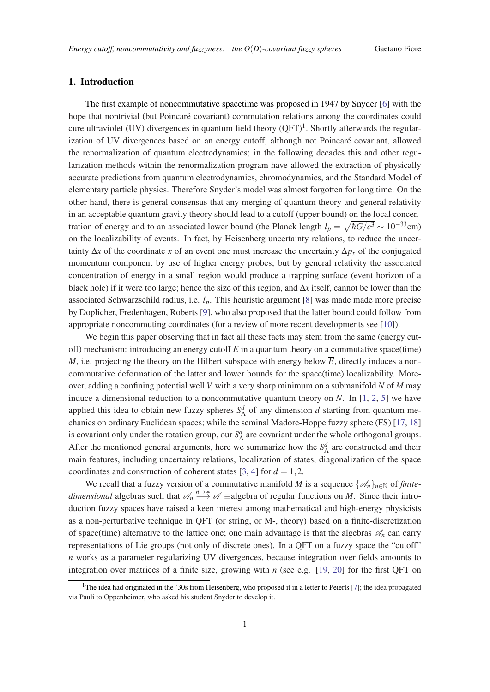#### 1. Introduction

The first example of noncommutative spacetime was proposed in 1947 by Snyder [[6](#page-20-0)] with the hope that nontrivial (but Poincaré covariant) commutation relations among the coordinates could cure ultraviolet (UV) divergences in quantum field theory  $(QFT)^1$ . Shortly afterwards the regularization of UV divergences based on an energy cutoff, although not Poincaré covariant, allowed the renormalization of quantum electrodynamics; in the following decades this and other regularization methods within the renormalization program have allowed the extraction of physically accurate predictions from quantum electrodynamics, chromodynamics, and the Standard Model of elementary particle physics. Therefore Snyder's model was almost forgotten for long time. On the other hand, there is general consensus that any merging of quantum theory and general relativity in an acceptable quantum gravity theory should lead to a cutoff (upper bound) on the local concentration of energy and to an associated lower bound (the Planck length  $l_p = \sqrt{\hbar G/c^3} \sim 10^{-33}$ cm) on the localizability of events. In fact, by Heisenberg uncertainty relations, to reduce the uncertainty  $\Delta x$  of the coordinate *x* of an event one must increase the uncertainty  $\Delta p_x$  of the conjugated momentum component by use of higher energy probes; but by general relativity the associated concentration of energy in a small region would produce a trapping surface (event horizon of a black hole) if it were too large; hence the size of this region, and ∆*x* itself, cannot be lower than the associated Schwarzschild radius, i.e. *lp*. This heuristic argument [\[8\]](#page-20-0) was made made more precise by Doplicher, Fredenhagen, Roberts [[9](#page-20-0)], who also proposed that the latter bound could follow from appropriate noncommuting coordinates (for a review of more recent developments see [[10](#page-20-0)]).

We begin this paper observing that in fact all these facts may stem from the same (energy cutoff) mechanism: introducing an energy cutoff  $\overline{E}$  in a quantum theory on a commutative space(time) *M*, i.e. projecting the theory on the Hilbert subspace with energy below  $\overline{E}$ , directly induces a noncommutative deformation of the latter and lower bounds for the space(time) localizability. Moreover, adding a confining potential well *V* with a very sharp minimum on a submanifold *N* of *M* may induce a dimensional reduction to a noncommutative quantum theory on *N*. In [\[1,](#page-20-0) [2](#page-20-0), [5\]](#page-20-0) we have applied this idea to obtain new fuzzy spheres  $S^d$  of any dimension *d* starting from quantum mechanics on ordinary Euclidean spaces; while the seminal Madore-Hoppe fuzzy sphere (FS) [\[17](#page-20-0), [18](#page-21-0)] is covariant only under the rotation group, our  $S^d_\Lambda$  are covariant under the whole orthogonal groups. After the mentioned general arguments, here we summarize how the  $S^d_\Lambda$  are constructed and their main features, including uncertainty relations, localization of states, diagonalization of the space coordinates and construction of coherent states [\[3,](#page-20-0) [4\]](#page-20-0) for  $d = 1, 2$ .

We recall that a fuzzy version of a commutative manifold *M* is a sequence  $\{\mathscr{A}_n\}_{n\in\mathbb{N}}$  of *finitedimensional* algebras such that  $\mathcal{A}_n \longrightarrow^n \mathcal{A}$  ≡algebra of regular functions on *M*. Since their introduction fuzzy spaces have raised a keen interest among mathematical and high-energy physicists as a non-perturbative technique in QFT (or string, or M-, theory) based on a finite-discretization of space(time) alternative to the lattice one; one main advantage is that the algebras  $\mathcal{A}_n$  can carry representations of Lie groups (not only of discrete ones). In a QFT on a fuzzy space the "cutoff" *n* works as a parameter regularizing UV divergences, because integration over fields amounts to integration over matrices of a finite size, growing with *n* (see e.g. [\[19](#page-21-0), [20](#page-21-0)] for the first QFT on

<sup>&</sup>lt;sup>1</sup>The idea had originated in the '30s from Heisenberg, who proposed it in a letter to Peierls [[7](#page-20-0)]; the idea propagated via Pauli to Oppenheimer, who asked his student Snyder to develop it.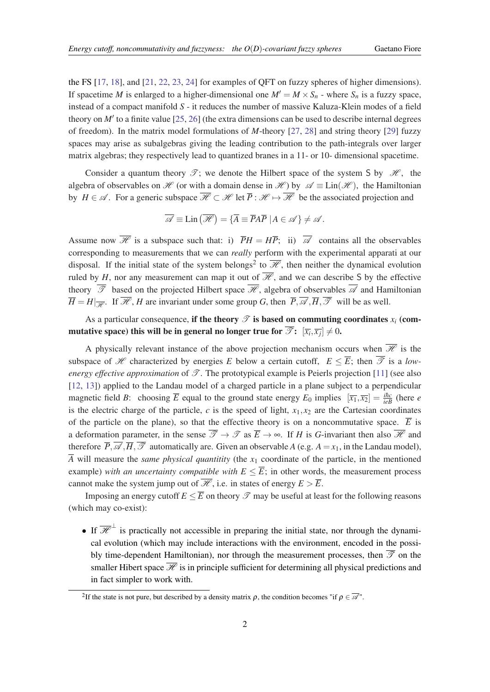the FS [[17,](#page-20-0) [18](#page-21-0)], and [\[21](#page-21-0), [22,](#page-21-0) [23](#page-21-0), [24\]](#page-21-0) for examples of QFT on fuzzy spheres of higher dimensions). If spacetime *M* is enlarged to a higher-dimensional one  $M' = M \times S_n$  - where  $S_n$  is a fuzzy space, instead of a compact manifold *S* - it reduces the number of massive Kaluza-Klein modes of a field theory on  $M'$  to a finite value [\[25](#page-21-0), [26](#page-21-0)] (the extra dimensions can be used to describe internal degrees of freedom). In the matrix model formulations of *M*-theory [[27](#page-21-0), [28](#page-21-0)] and string theory [[29\]](#page-21-0) fuzzy spaces may arise as subalgebras giving the leading contribution to the path-integrals over larger matrix algebras; they respectively lead to quantized branes in a 11- or 10- dimensional spacetime.

Consider a quantum theory  $\mathcal{T}$ ; we denote the Hilbert space of the system S by  $\mathcal{H}$ , the algebra of observables on H (or with a domain dense in H ) by  $\mathscr{A} \equiv \text{Lin}(\mathscr{H})$ , the Hamiltonian by  $H \in \mathscr{A}$ . For a generic subspace  $\overline{\mathscr{H}} \subset \mathscr{H}$  let  $\overline{P} : \mathscr{H} \mapsto \overline{\mathscr{H}}$  be the associated projection and

$$
\overline{\mathscr{A}} \equiv \text{Lin}\left(\overline{\mathscr{H}}\right) = \{ \overline{A} \equiv \overline{P} A \overline{P} \mid A \in \mathscr{A} \} \neq \mathscr{A}.
$$

Assume now  $\overline{\mathcal{H}}$  is a subspace such that: i)  $\overline{P}H = H\overline{P}$ ; ii)  $\overline{\mathcal{A}}$  contains all the observables corresponding to measurements that we can *really* perform with the experimental apparati at our disposal. If the initial state of the system belongs<sup>2</sup> to  $\overline{\mathcal{H}}$ , then neither the dynamical evolution ruled by *H*, nor any measurement can map it out of  $\overline{\mathcal{H}}$ , and we can describe S by the effective theory  $\overline{\mathscr{T}}$  based on the projected Hilbert space  $\overline{\mathscr{H}}$ , algebra of observables  $\overline{\mathscr{A}}$  and Hamiltonian  $\overline{H} = H |_{\overline{\mathscr{L}}}$ . If  $\overline{\mathscr{H}}$ , *H* are invariant under some group *G*, then  $\overline{P}, \overline{\mathscr{A}}$ ,  $\overline{H}, \overline{\mathscr{T}}$  will be as well.

## As a particular consequence, if the theory  $\mathscr T$  is based on commuting coordinates  $x_i$  (commutative space) this will be in general no longer true for  $\mathscr{T} \colon \ [\overline{x_i}, \overline{x_j}] \neq 0.$

A physically relevant instance of the above projection mechanism occurs when  $\overline{\mathcal{H}}$  is the subspace of H characterized by energies E below a certain cutoff,  $E \leq \overline{E}$ ; then  $\overline{\mathscr{T}}$  is a *lowenergy effective approximation* of  $\mathscr{T}$ . The prototypical example is Peierls projection [[11\]](#page-20-0) (see also [[12,](#page-20-0) [13\]](#page-20-0)) applied to the Landau model of a charged particle in a plane subject to a perpendicular magnetic field *B*: choosing  $\overline{E}$  equal to the ground state energy  $E_0$  implies  $[\overline{x_1}, \overline{x_2}] = \frac{i\hbar c}{ieB}$  (here *e* is the electric charge of the particle,  $c$  is the speed of light,  $x_1, x_2$  are the Cartesian coordinates of the particle on the plane), so that the effective theory is on a noncommutative space.  $\overline{E}$  is a deformation parameter, in the sense  $\overline{\mathscr{T}} \to \mathscr{T}$  as  $\overline{E} \to \infty$ . If *H* is *G*-invariant then also  $\overline{\mathscr{H}}$  and therefore  $\overline{P}, \overline{\mathscr{A}}, \overline{H}, \overline{\mathscr{F}}$  automatically are. Given an observable *A* (e.g. *A* = *x*<sub>1</sub>, in the Landau model),  $\overline{A}$  will measure the *same physical quantitity* (the  $x_1$  coordinate of the particle, in the mentioned example) *with an uncertainty compatible with*  $E \leq \overline{E}$ ; in other words, the measurement process cannot make the system jump out of  $\overline{\mathcal{H}}$ , i.e. in states of energy  $E > \overline{E}$ .

Imposing an energy cutoff  $E \leq \overline{E}$  on theory  $\mathscr T$  may be useful at least for the following reasons (which may co-exist):

• If  $\overline{\mathcal{H}}^{\perp}$  is practically not accessible in preparing the initial state, nor through the dynamical evolution (which may include interactions with the environment, encoded in the possibly time-dependent Hamiltonian), nor through the measurement processes, then  $\overline{\mathscr{T}}$  on the smaller Hibert space  $\overline{\mathcal{H}}$  is in principle sufficient for determining all physical predictions and in fact simpler to work with.

<sup>&</sup>lt;sup>2</sup>If the state is not pure, but described by a density matrix  $\rho$ , the condition becomes "if  $\rho \in \overline{\mathscr{A}}$ ".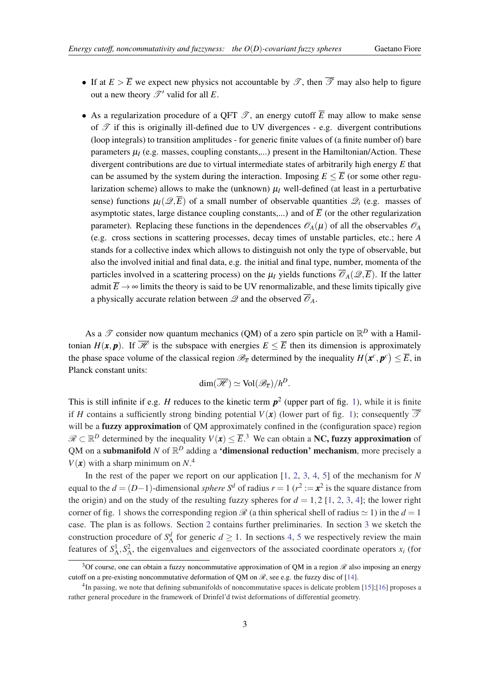- If at  $E > \overline{E}$  we expect new physics not accountable by  $\mathscr{T}$ , then  $\overline{\mathscr{T}}$  may also help to figure out a new theory  $\mathscr{T}'$  valid for all *E*.
- As a regularization procedure of a QFT  $\mathscr{T}$ , an energy cutoff  $\overline{E}$  may allow to make sense of  $\mathcal T$  if this is originally ill-defined due to UV divergences - e.g. divergent contributions (loop integrals) to transition amplitudes - for generic finite values of (a finite number of) bare parameters  $\mu$ <sub>*I*</sub> (e.g. masses, coupling constants,...) present in the Hamiltonian/Action. These divergent contributions are due to virtual intermediate states of arbitrarily high energy *E* that can be assumed by the system during the interaction. Imposing  $E \leq \overline{E}$  (or some other regularization scheme) allows to make the (unknown)  $\mu$ <sup>*I*</sup> well-defined (at least in a perturbative sense) functions  $\mu_I(\mathcal{Q}, \overline{E})$  of a small number of observable quantities  $\mathcal{Q}_i$  (e.g. masses of asymptotic states, large distance coupling constants,...) and of  $\overline{E}$  (or the other regularization parameter). Replacing these functions in the dependences  $\mathcal{O}_A(\mu)$  of all the observables  $\mathcal{O}_A$ (e.g. cross sections in scattering processes, decay times of unstable particles, etc.; here *A* stands for a collective index which allows to distinguish not only the type of observable, but also the involved initial and final data, e.g. the initial and final type, number, momenta of the particles involved in a scattering process) on the  $\mu$ <sub>*I*</sub> yields functions  $\overline{\mathscr{O}}_A(\mathscr{Q},\overline{E})$ . If the latter admit  $\overline{E} \rightarrow \infty$  limits the theory is said to be UV renormalizable, and these limits tipically give a physically accurate relation between  $\mathscr Q$  and the observed  $\overline{\mathscr O}_A$ .

As a  $\mathscr T$  consider now quantum mechanics (QM) of a zero spin particle on  $\mathbb{R}^D$  with a Hamiltonian  $H(\mathbf{x}, \mathbf{p})$ . If  $\overline{\mathcal{H}}$  is the subspace with energies  $E \leq \overline{E}$  then its dimension is approximately the phase space volume of the classical region  $\mathscr{B}_{\overline{E}}$  determined by the inequality  $H(x^c, p^c) \leq \overline{E}$ , in Planck constant units:

$$
\dim(\overline{\mathscr{H}}) \simeq \text{Vol}(\mathscr{B}_{\overline{E}})/h^D.
$$

This is still infinite if e.g. *H* reduces to the kinetic term  $p^2$  (upper part of fig. [1](#page-4-0)), while it is finite if *H* contains a sufficiently strong binding potential  $V(x)$  (lower part of fig. [1](#page-4-0)); consequently  $\overline{\mathscr{T}}$ will be a **fuzzy approximation** of QM approximately confined in the (configuration space) region  $\mathscr{R} \subset \mathbb{R}^D$  determined by the inequality  $V(x) \leq \overline{E}$ .<sup>3</sup> We can obtain a **NC, fuzzy approximation** of QM on a **submanifold** N of  $\mathbb{R}^D$  adding a **'dimensional reduction' mechanism**, more precisely a  $V(\mathbf{x})$  with a sharp minimum on  $N^4$ .

In the rest of the paper we report on our application [[1](#page-20-0), [2,](#page-20-0) [3,](#page-20-0) [4,](#page-20-0) [5](#page-20-0)] of the mechanism for *N* equal to the  $d = (D-1)$ -dimensional *sphere* S<sup>*d*</sup> of radius  $r = 1$  ( $r^2 := x^2$  is the square distance from the origin) and on the study of the resulting fuzzy spheres for  $d = 1,2$  $d = 1,2$  [\[1,](#page-20-0) 2, [3](#page-20-0), [4](#page-20-0)]; the lower right corner of fig. [1](#page-4-0) shows the corresponding region  $\mathcal R$  (a thin spherical shell of radius  $\simeq$  1) in the  $d=1$ case. The plan is as follows. Section [2](#page-4-0) contains further preliminaries. In section [3](#page-7-0) we sketch the construction procedure of  $S^d$  for generic  $d \ge 1$ . In sections [4,](#page-8-0) [5](#page-11-0) we respectively review the main features of  $S^1_\Lambda$ ,  $S^2_\Lambda$ , the eigenvalues and eigenvectors of the associated coordinate operators  $x_i$  (for

<sup>&</sup>lt;sup>3</sup>Of course, one can obtain a fuzzy noncommutative approximation of QM in a region  $\mathscr R$  also imposing an energy cutoff on a pre-existing noncommutative deformation of QM on  $\mathcal{R}$ , see e.g. the fuzzy disc of [[14\]](#page-20-0).

<sup>&</sup>lt;sup>4</sup>In passing, we note that defining submanifolds of noncommutative spaces is delicate problem [\[15](#page-20-0)];[[16\]](#page-20-0) proposes a rather general procedure in the framework of Drinfel'd twist deformations of differential geometry.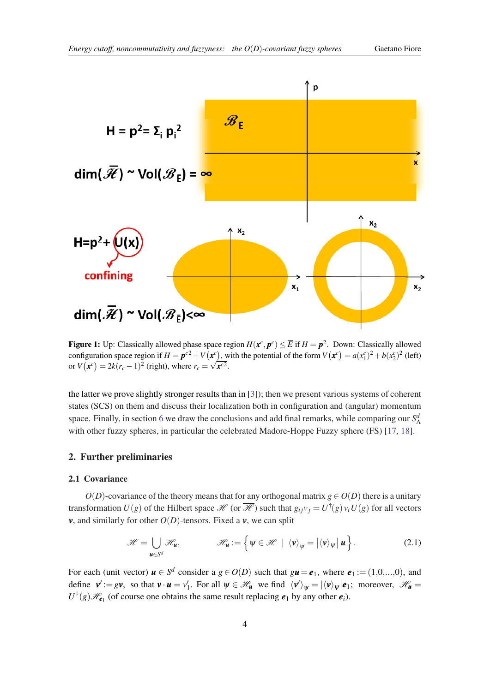<span id="page-4-0"></span>

Figure 1: Up: Classically allowed phase space region  $H(x^c, p^c) \leq \overline{E}$  if  $H = p^2$ . Down: Classically allowed configuration space region if  $H = \mathbf{p}^{c2} + V(\mathbf{x}^c)$ , with the potential of the form  $V(\mathbf{x}^c) = a(x_1^c)^2 + b(x_2^c)^2$  (left) or  $V(\mathbf{x}^c) = 2k(r_c - 1)^2$  (right), where  $r_c = \sqrt{\mathbf{x}^{c2}}$ .

the latter we prove slightly stronger results than in [\[3\]](#page-20-0)); then we present various systems of coherent states (SCS) on them and discuss their localization both in configuration and (angular) momentum space. Finally, in section [6](#page-16-0) we draw the conclusions and add final remarks, while comparing our *S*<sup>*d*</sup><sub>Δ</sub> with other fuzzy spheres, in particular the celebrated Madore-Hoppe Fuzzy sphere (FS) [[17,](#page-20-0) [18](#page-21-0)].

### 2. Further preliminaries

#### 2.1 Covariance

*O*(*D*)-covariance of the theory means that for any orthogonal matrix  $g \in O(D)$  there is a unitary transformation  $U(g)$  of the Hilbert space  $\mathscr{H}$  (or  $\overline{\mathscr{H}}$ ) such that  $g_{ij}v_j = U^{\dagger}(g)v_iU(g)$  for all vectors *v*, and similarly for other  $O(D)$ -tensors. Fixed a *v*, we can split

$$
\mathscr{H} = \bigcup_{\mathbf{u} \in S^d} \mathscr{H}_{\mathbf{u}}, \qquad \mathscr{H}_{\mathbf{u}} := \left\{ \psi \in \mathscr{H} \mid \langle \mathbf{v} \rangle_{\psi} = \left| \langle \mathbf{v} \rangle_{\psi} \right| \mathbf{u} \right\}.
$$
 (2.1)

For each (unit vector)  $u \in S^d$  consider a  $g \in O(D)$  such that  $g u = e_1$ , where  $e_1 := (1,0,...,0)$ , and define  $v' := gv$ , so that  $v \cdot u = v'_1$ . For all  $\psi \in \mathcal{H}_u$  we find  $\langle v' \rangle_{\psi} = |\langle v \rangle_{\psi}|e_1$ ; moreover,  $\mathcal{H}_u =$  $U^{\dagger}(g) \mathcal{H}_{e_1}$  (of course one obtains the same result replacing  $e_1$  by any other  $e_i$ ).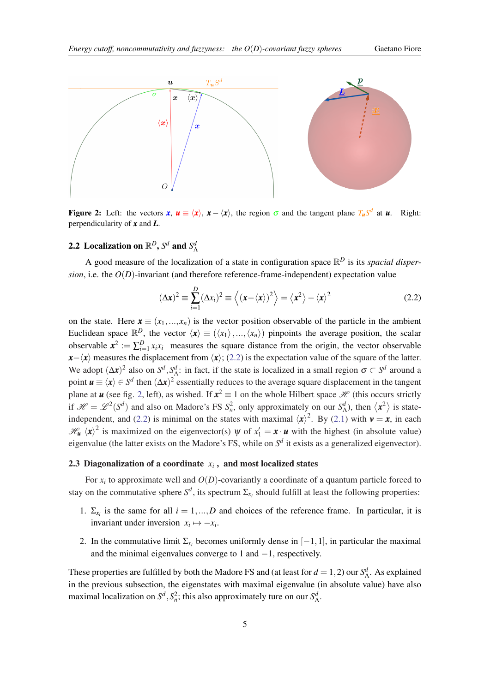<span id="page-5-0"></span>

Figure 2: Left: the vectors  $x, u \equiv \langle x \rangle, x - \langle x \rangle$ , the region  $\sigma$  and the tangent plane  $T_u S^d$  at *u*. Right: perpendicularity of *x* and *L*.

# **2.2** Localization on  $\mathbb{R}^D$ ,  $S^d$  and  $S^d_{\Lambda}$

A good measure of the localization of a state in configuration space  $\mathbb{R}^D$  is its *spacial dispersion*, i.e. the  $O(D)$ -invariant (and therefore reference-frame-independent) expectation value

$$
(\Delta \mathbf{x})^2 \equiv \sum_{i=1}^D (\Delta x_i)^2 \equiv \left\langle (\mathbf{x} - \langle \mathbf{x} \rangle)^2 \right\rangle = \left\langle \mathbf{x}^2 \right\rangle - \left\langle \mathbf{x} \right\rangle^2 \tag{2.2}
$$

on the state. Here  $\mathbf{x} \equiv (x_1, ..., x_n)$  is the vector position observable of the particle in the ambient Euclidean space  $\mathbb{R}^D$ , the vector  $\langle x \rangle \equiv (\langle x_1 \rangle, ..., \langle x_n \rangle)$  pinpoints the average position, the scalar observable  $x^2 := \sum_{i=1}^D x_i x_i$  measures the square distance from the origin, the vector observable  $x-\langle x \rangle$  measures the displacement from  $\langle x \rangle$ ; (2.2) is the expectation value of the square of the latter. We adopt  $(\Delta x)^2$  also on  $S^d$ ,  $S^d$ : in fact, if the state is localized in a small region  $\sigma \subset S^d$  around a point  $u \equiv \langle x \rangle \in S^d$  then  $(\Delta x)^2$  essentially reduces to the average square displacement in the tangent plane at *u* (see fig. 2, left), as wished. If  $x^2 \equiv 1$  on the whole Hilbert space  $\mathcal H$  (this occurs strictly if  $\mathcal{H} = \mathcal{L}^2(S^d)$  and also on Madore's FS  $S_n^2$ , only approximately on our  $S_\Lambda^d$ ), then  $\langle x^2 \rangle$  is stateindependent, and (2.2) is minimal on the states with maximal  $\langle x \rangle^2$ . By ([2.1](#page-4-0)) with  $v = x$ , in each  $\mathcal{H}_{\mathbf{u}} \langle \mathbf{x} \rangle^2$  is maximized on the eigenvector(s)  $\psi$  of  $x_1' = \mathbf{x} \cdot \mathbf{u}$  with the highest (in absolute value) eigenvalue (the latter exists on the Madore's FS, while on  $S^d$  it exists as a generalized eigenvector).

#### 2.3 Diagonalization of a coordinate  $x_i$  , and most localized states

For *x<sup>i</sup>* to approximate well and *O*(*D*)-covariantly a coordinate of a quantum particle forced to stay on the commutative sphere  $S^d$ , its spectrum  $\Sigma_{x_i}$  should fulfill at least the following properties:

- 1.  $\Sigma_{x_i}$  is the same for all  $i = 1, ..., D$  and choices of the reference frame. In particular, it is invariant under inversion  $x_i \mapsto -x_i$ .
- 2. In the commutative limit  $\Sigma_{x_i}$  becomes uniformly dense in  $[-1,1]$ , in particular the maximal and the minimal eigenvalues converge to 1 and  $-1$ , respectively.

These properties are fulfilled by both the Madore FS and (at least for  $d = 1, 2$ ) our  $S^d_\Lambda$ . As explained in the previous subsection, the eigenstates with maximal eigenvalue (in absolute value) have also maximal localization on  $S^d$ ,  $S_n^2$ ; this also approximately ture on our  $S^d_\Lambda$ .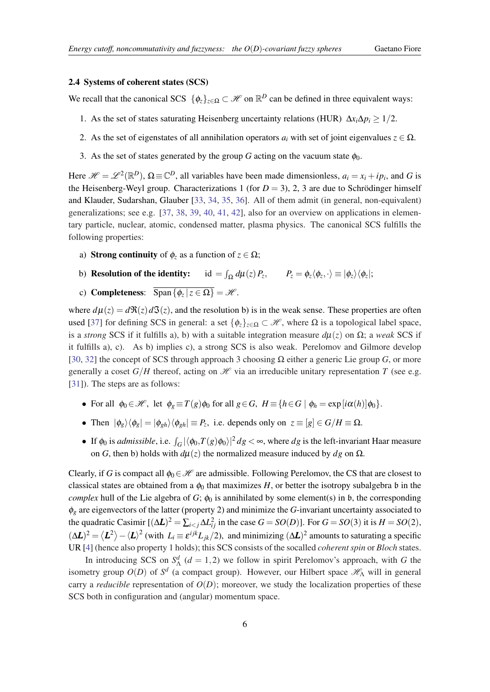#### <span id="page-6-0"></span>2.4 Systems of coherent states (SCS)

We recall that the canonical SCS  $\{\phi_z\}_{z \in \Omega} \subset \mathcal{H}$  on  $\mathbb{R}^D$  can be defined in three equivalent ways:

- 1. As the set of states saturating Heisenberg uncertainty relations (HUR)  $\Delta x_i \Delta p_i \geq 1/2$ .
- 2. As the set of eigenstates of all annihilation operators  $a_i$  with set of joint eigenvalues  $z \in \Omega$ .
- 3. As the set of states generated by the group *G* acting on the vacuum state  $\phi_0$ .

Here  $\mathcal{H} = \mathcal{L}^2(\mathbb{R}^D)$ ,  $\Omega \equiv \mathbb{C}^D$ , all variables have been made dimensionless,  $a_i = x_i + ip_i$ , and G is the Heisenberg-Weyl group. Characterizations 1 (for  $D = 3$ ), 2, 3 are due to Schrödinger himself and Klauder, Sudarshan, Glauber [\[33,](#page-21-0) [34,](#page-21-0) [35](#page-21-0), [36](#page-21-0)]. All of them admit (in general, non-equivalent) generalizations; see e.g. [\[37](#page-21-0), [38,](#page-21-0) [39,](#page-21-0) [40](#page-21-0), [41](#page-21-0), [42](#page-21-0)], also for an overview on applications in elementary particle, nuclear, atomic, condensed matter, plasma physics. The canonical SCS fulfills the following properties:

- a) **Strong continuity** of  $\phi_z$  as a function of  $z \in \Omega$ ;
- b) Resolution of the identity:  $\int_{\Omega} d\mu(z) P_z, \qquad P_z = \phi_z \langle \phi_z, \cdot \rangle \equiv |\phi_z\rangle \langle \phi_z|;$
- c) **Completeness**:  $\text{Span}\{\phi_z | z \in \Omega\} = \mathcal{H}$ .

where  $d\mu(z) = d\Re(z) d\Im(z)$ , and the resolution b) is in the weak sense. These properties are often used [\[37](#page-21-0)] for defining SCS in general: a set  $\{\phi_{\zeta}\}_{{\zeta \in \Omega}} \subset \mathcal{H}$ , where  $\Omega$  is a topological label space, is a *strong* SCS if it fulfills a), b) with a suitable integration measure *d*µ(*z*) on Ω; a *weak* SCS if it fulfills a), c). As b) implies c), a strong SCS is also weak. Perelomov and Gilmore develop [[30,](#page-21-0) [32](#page-21-0)] the concept of SCS through approach 3 choosing Ω either a generic Lie group *G*, or more generally a coset  $G/H$  thereof, acting on  $\mathcal H$  via an irreducible unitary representation *T* (see e.g. [[31\]](#page-21-0)). The steps are as follows:

- For all  $\phi_0 \in \mathcal{H}$ , let  $\phi_e \equiv T(g)\phi_0$  for all  $g \in G$ ,  $H \equiv \{h \in G \mid \phi_h = \exp[i\alpha(h)]\phi_0\}$ .
- Then  $|\phi_g\rangle\langle\phi_g| = |\phi_{gh}\rangle\langle\phi_{gh}| \equiv P_z$ , i.e. depends only on  $z \equiv [g] \in G/H \equiv \Omega$ .
- If  $\phi_0$  is *admissible*, i.e.  $\int_G |\langle \phi_0, T(g) \phi_0 \rangle|^2 dg < \infty$ , where *dg* is the left-invariant Haar measure on *G*, then b) holds with  $d\mu(z)$  the normalized measure induced by *dg* on Ω.

Clearly, if *G* is compact all  $\phi_0 \in \mathcal{H}$  are admissible. Following Perelomov, the CS that are closest to classical states are obtained from a  $\phi_0$  that maximizes *H*, or better the isotropy subalgebra b in the *complex* hull of the Lie algebra of *G*;  $\phi_0$  is annihilated by some element(s) in b, the corresponding  $\phi_g$  are eigenvectors of the latter (property 2) and minimize the *G*-invariant uncertainty associated to the quadratic Casimir  $[(\Delta L)^2 = \sum_{i < j} \Delta L_{ij}^2$  in the case  $G = SO(D)$ ]. For  $G = SO(3)$  it is  $H = SO(2)$ ,  $(\Delta L)^2 = \langle L^2 \rangle - \langle L \rangle^2$  (with  $L_i \equiv \varepsilon^{ijk} L_{jk}/2$ ), and minimizing  $(\Delta L)^2$  amounts to saturating a specific UR [\[4\]](#page-20-0) (hence also property 1 holds); this SCS consists of the socalled *coherent spin* or *Bloch* states.

In introducing SCS on  $S^d$  ( $d = 1,2$ ) we follow in spirit Perelomov's approach, with *G* the isometry group  $O(D)$  of  $S^d$  (a compact group). However, our Hilbert space  $\mathscr{H}_{\Lambda}$  will in general carry a *reducible* representation of  $O(D)$ ; moreover, we study the localization properties of these SCS both in configuration and (angular) momentum space.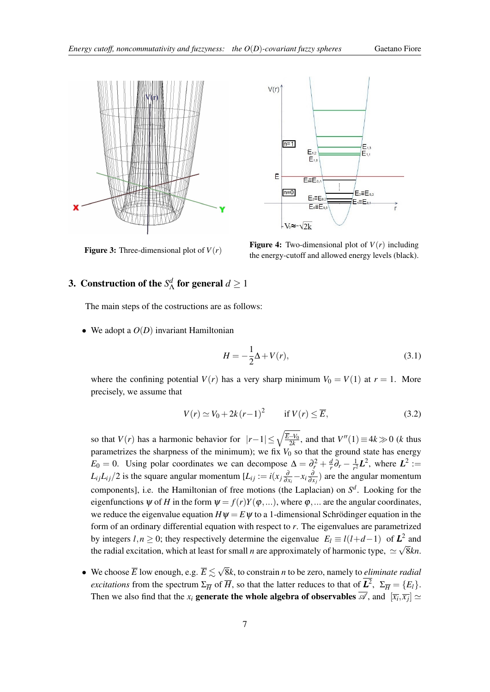<span id="page-7-0"></span>



**Figure 3:** Three-dimensional plot of  $V(r)$ 

**Figure 4:** Two-dimensional plot of  $V(r)$  including the energy-cutoff and allowed energy levels (black).

#### **3.** Construction of the  $S^d$  $\frac{d}{\Lambda}$  for general  $d \geq 1$

The main steps of the costructions are as follows:

• We adopt a  $O(D)$  invariant Hamiltonian

$$
H = -\frac{1}{2}\Delta + V(r),\tag{3.1}
$$

where the confining potential  $V(r)$  has a very sharp minimum  $V_0 = V(1)$  at  $r = 1$ . More precisely, we assume that

$$
V(r) \simeq V_0 + 2k(r-1)^2 \qquad \text{if } V(r) \leq \overline{E},\tag{3.2}
$$

so that  $V(r)$  has a harmonic behavior for  $|r-1| \leq \sqrt{\frac{E-V_0}{2k}}$ , and that  $V''(1) \equiv 4k \gg 0$  (*k* thus parametrizes the sharpness of the minimum); we fix  $V_0$  so that the ground state has energy  $E_0 = 0$ . Using polar coordinates we can decompose  $\Delta = \partial_r^2 + \frac{d}{r}$  $\frac{d}{r}\partial_r - \frac{1}{r^2}$  $\frac{1}{r^2}L^2$ , where  $L^2 :=$  $L_{ij}L_{ij}/2$  is the square angular momentum  $[L_{ij} := i(x_j \frac{\partial}{\partial x_i} - x_i \frac{\partial}{\partial x_j})$  are the angular momentum components], i.e. the Hamiltonian of free motions (the Laplacian) on *S d* . Looking for the eigenfunctions  $\psi$  of *H* in the form  $\psi = f(r)Y(\phi,...)$ , where  $\phi$ ,... are the angular coordinates, we reduce the eigenvalue equation  $H\psi = E\psi$  to a 1-dimensional Schrödinger equation in the form of an ordinary differential equation with respect to *r*. The eigenvalues are parametrized by integers *l*,*n* ≥ 0; they respectively determine the eigenvalue  $E_l \equiv l(l+d-1)$  of  $\mathbb{Z}_2^2$  and the radial excitation, which at least for small *n* are approximately of harmonic type,  $\simeq \sqrt{8kn}$ .

• We choose  $\overline{E}$  low enough, e.g.  $\overline{E} \lesssim \sqrt{2}$ 8*k*, to constrain *n* to be zero, namely to *eliminate radial excitations* from the spectrum  $\Sigma_{\overline{H}}$  of  $\overline{H}$ , so that the latter reduces to that of  $\mathcal{L}^2$ ,  $\Sigma_{\overline{H}} = \{E_l\}$ . Then we also find that the  $x_i$  **generate the whole algebra of observables**  $\mathscr{A}$ , and  $[\overline{x_i}, \overline{x_j}] \simeq$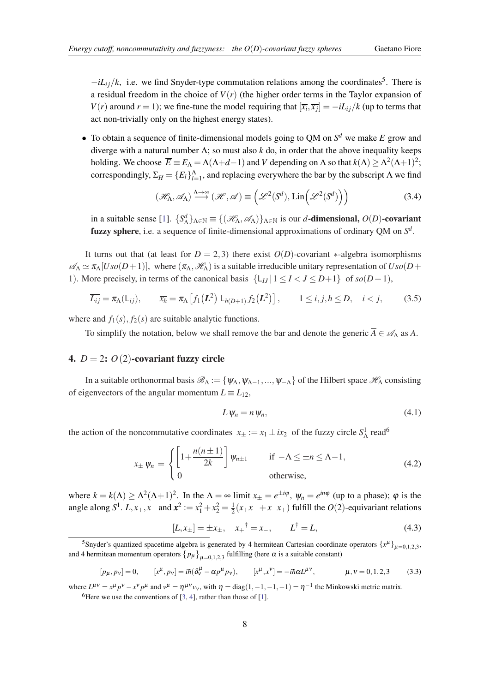<span id="page-8-0"></span> $-iL_{ij}/k$ , i.e. we find Snyder-type commutation relations among the coordinates<sup>5</sup>. There is a residual freedom in the choice of  $V(r)$  (the higher order terms in the Taylor expansion of *V*(*r*) around *r* = 1); we fine-tune the model requiring that  $[\overline{x_i}, \overline{x_j}] = -iL_{ij}/k$  (up to terms that act non-trivially only on the highest energy states).

• To obtain a sequence of finite-dimensional models going to QM on  $S^d$  we make  $\overline{E}$  grow and diverge with a natural number  $\Lambda$ ; so must also *k* do, in order that the above inequality keeps holding. We choose  $\overline{E} \equiv E_{\Lambda} = \Lambda(\Lambda + d - 1)$  and *V* depending on  $\Lambda$  so that  $k(\Lambda) \geq \Lambda^2(\Lambda + 1)^2$ ; correspondingly,  $\Sigma_{\overline{H}} = \{E_l\}_{l=1}^{\Lambda}$ , and replacing everywhere the bar by the subscript  $\Lambda$  we find

$$
(\mathcal{H}_{\Lambda}, \mathcal{A}_{\Lambda}) \xrightarrow{\Lambda \to \infty} (\mathcal{H}, \mathcal{A}) \equiv \left( \mathcal{L}^{2}(S^{d}), \operatorname{Lin} \left( \mathcal{L}^{2}(S^{d}) \right) \right)
$$
(3.4)

in a suitable sense [[1](#page-20-0)].  ${S^d_\Lambda}_{\Lambda \in \mathbb{N}} \equiv \{ (\mathcal{H}_\Lambda, \mathcal{A}_\Lambda) \}_{\Lambda \in \mathbb{N}}$  is our *d*-dimensional, *O*(*D*)-covariant fuzzy sphere, i.e. a sequence of finite-dimensional approximations of ordinary QM on *S d* .

It turns out that (at least for  $D = 2,3$ ) there exist  $O(D)$ -covariant \*-algebra isomorphisms  $\mathscr{A}_\Lambda \simeq \pi_\Lambda [U_{\text{SO}}(D+1)]$ , where  $(\pi_\Lambda, \mathscr{H}_\Lambda)$  is a suitable irreducible unitary representation of  $U_{\text{SO}}(D+1)$ 1). More precisely, in terms of the canonical basis  $\{L_{IJ} | 1 \leq I < J \leq D+1\}$  of  $so(D+1)$ ,

$$
\overline{L_{ij}} = \pi_{\Lambda}(L_{ij}), \qquad \overline{x_h} = \pi_{\Lambda}\left[f_1\left(\mathbf{L}^2\right)L_{h(D+1)}f_2\left(\mathbf{L}^2\right)\right], \qquad 1 \le i, j, h \le D, \quad i < j,
$$
\n(3.5)

where and  $f_1(s)$ ,  $f_2(s)$  are suitable analytic functions.

To simplify the notation, below we shall remove the bar and denote the generic  $\overline{A} \in \mathscr{A}_{\Lambda}$  as A.

#### 4.  $D = 2$ :  $O(2)$ -covariant fuzzy circle

In a suitable orthonormal basis  $\mathscr{B}_{\Lambda} := \{ \psi_{\Lambda}, \psi_{\Lambda-1}, ..., \psi_{-\Lambda} \}$  of the Hilbert space  $\mathscr{H}_{\Lambda}$  consisting of eigenvectors of the angular momentum  $L \equiv L_{12}$ ,

$$
L\,\psi_n = n\,\psi_n,\tag{4.1}
$$

the action of the noncommutative coordinates  $x_{\pm} := x_1 \pm ix_2$  of the fuzzy circle  $S^1_A$  read<sup>6</sup>

$$
x_{\pm} \psi_n = \begin{cases} \left[1 + \frac{n(n \pm 1)}{2k}\right] \psi_{n \pm 1} & \text{if } -\Lambda \le \pm n \le \Lambda - 1, \\ 0 & \text{otherwise,} \end{cases} \tag{4.2}
$$

where  $k = k(\Lambda) \ge \Lambda^2(\Lambda + 1)^2$ . In the  $\Lambda = \infty$  limit  $x_{\pm} = e^{\pm i\phi}$ ,  $\psi_n = e^{in\phi}$  (up to a phase);  $\phi$  is the angle along *S*<sup>1</sup>. *L*, *x*<sub>+</sub>, *x*<sub>-</sub> and  $\mathbf{x}^2 := x_1^2 + x_2^2 = \frac{1}{2}$  $\frac{1}{2}(x_+x_-+x_-x_+)$  fulfill the *O*(2)-equivariant relations

$$
[L, x_{\pm}] = \pm x_{\pm}, \quad x_{+}^{\dagger} = x_{-}, \qquad L^{\dagger} = L, \tag{4.3}
$$

$$
[p_{\mu}, p_{\nu}] = 0, \qquad [x^{\mu}, p_{\nu}] = i\hbar (\delta^{\mu}_{\nu} - \alpha p^{\mu} p_{\nu}), \qquad [x^{\mu}, x^{\nu}] = -i\hbar \alpha L^{\mu \nu}, \qquad \mu, \nu = 0, 1, 2, 3 \tag{3.3}
$$

where  $L^{\mu\nu} = x^{\mu} p^{\nu} - x^{\nu} p^{\mu}$  and  $v^{\mu} = \eta^{\mu\nu} v_{\nu}$ , with  $\eta = \text{diag}(1, -1, -1, -1) = \eta^{-1}$  the Minkowski metric matrix. <sup>6</sup>Here we use the conventions of  $[3, 4]$  $[3, 4]$  $[3, 4]$ , rather than those of  $[1]$  $[1]$  $[1]$ .

<sup>&</sup>lt;sup>5</sup>Snyder's quantized spacetime algebra is generated by 4 hermitean Cartesian coordinate operators  $\{x^{\mu}\}_{\mu=0,1,2,3}$ , and 4 hermitean momentum operators  $\{p_\mu\}_{\mu=0,1,2,3}$  fulfilling (here  $\alpha$  is a suitable constant)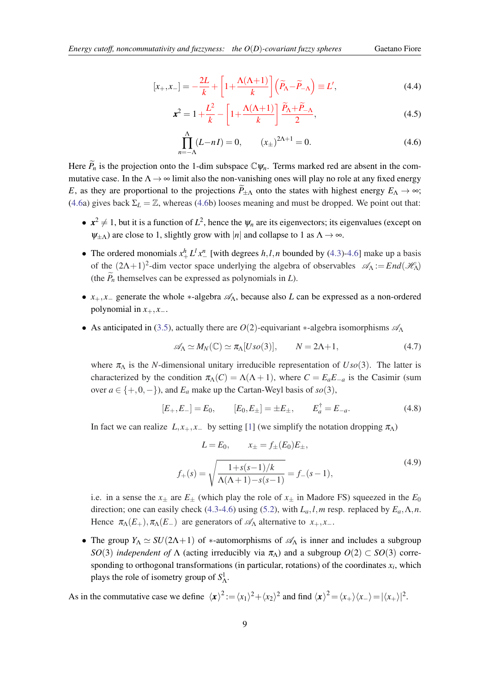$$
[x_+, x_-] = -\frac{2L}{k} + \left[1 + \frac{\Lambda(\Lambda + 1)}{k}\right] \left(\widetilde{P}_{\Lambda} - \widetilde{P}_{-\Lambda}\right) \equiv L',\tag{4.4}
$$

$$
\boldsymbol{x}^2 = 1 + \frac{L^2}{k} - \left[1 + \frac{\Lambda(\Lambda + 1)}{k}\right] \frac{\widetilde{P}_{\Lambda} + \widetilde{P}_{-\Lambda}}{2},\tag{4.5}
$$

$$
\prod_{n=-\Lambda}^{\Lambda} (L - nI) = 0, \qquad (x_{\pm})^{2\Lambda + 1} = 0.
$$
 (4.6)

Here  $\widetilde{P}_n$  is the projection onto the 1-dim subspace  $\mathbb{C}\psi_n$ . Terms marked red are absent in the commutative case. In the  $\Lambda \rightarrow \infty$  limit also the non-vanishing ones will play no role at any fixed energy *E*, as they are proportional to the projections  $\widetilde{P}_{\pm\Lambda}$  onto the states with highest energy  $E_{\Lambda} \to \infty$ ; (4.6a) gives back  $\Sigma_L = \mathbb{Z}$ , whereas (4.6b) looses meaning and must be dropped. We point out that:

- $x^2 \neq 1$ , but it is a function of  $L^2$ , hence the  $\psi_n$  are its eigenvectors; its eigenvalues (except on  $\psi_{\pm\Lambda}$ ) are close to 1, slightly grow with |*n*| and collapse to 1 as  $\Lambda \rightarrow \infty$ .
- The ordered monomials  $x_+^h L^l x_-^n$  [with degrees *h*,*l*,*n* bounded by [\(4.3\)](#page-8-0)-4.6] make up a basis of the  $(2\Lambda+1)^2$ -dim vector space underlying the algebra of observables  $\mathscr{A}_{\Lambda} := End(\mathscr{H}_{\Lambda})$ (the  $\tilde{P}_n$  themselves can be expressed as polynomials in *L*).
- $x_+, x_-$  generate the whole  $*$ -algebra  $\mathscr{A}_\Lambda$ , because also *L* can be expressed as a non-ordered polynomial in  $x_+, x_-.$
- As anticipated in ([3.5](#page-8-0)), actually there are  $O(2)$ -equivariant \*-algebra isomorphisms  $\mathscr{A}_{\Lambda}$

$$
\mathscr{A}_{\Lambda} \simeq M_N(\mathbb{C}) \simeq \pi_{\Lambda}[Uso(3)], \qquad N = 2\Lambda + 1,\tag{4.7}
$$

where  $\pi_A$  is the *N*-dimensional unitary irreducible representation of  $U\mathfrak{so}(3)$ . The latter is characterized by the condition  $\pi_{\Lambda}(C) = \Lambda(\Lambda + 1)$ , where  $C = E_a E_{-a}$  is the Casimir (sum over  $a \in \{+,0,-\}$ , and  $E_a$  make up the Cartan-Weyl basis of  $so(3)$ ,

$$
[E_+, E_-] = E_0, \qquad [E_0, E_\pm] = \pm E_\pm, \qquad E_a^\dagger = E_{-a}.
$$
 (4.8)

In fact we can realize  $L, x_+, x_-$  by setting [\[1\]](#page-20-0) (we simplify the notation dropping  $\pi_\Lambda$ )

$$
L = E_0, \qquad x_{\pm} = f_{\pm}(E_0)E_{\pm},
$$
  

$$
f_{+}(s) = \sqrt{\frac{1 + s(s - 1)/k}{\Lambda(\Lambda + 1) - s(s - 1)}} = f_{-}(s - 1),
$$
 (4.9)

i.e. in a sense the  $x_{\pm}$  are  $E_{\pm}$  (which play the role of  $x_{\pm}$  in Madore FS) squeezed in the  $E_0$ direction; one can easily check [\(4.3-](#page-8-0)4.6) using ([5.2](#page-12-0)), with  $L_a$ , *l*,*m* resp. replaced by  $E_a$ ,  $\Lambda$ , *n*. Hence  $\pi_{\Lambda}(E_+), \pi_{\Lambda}(E_-)$  are generators of  $\mathscr{A}_{\Lambda}$  alternative to  $x_+, x_-$ .

• The group  $Y_\Lambda \simeq SU(2\Lambda+1)$  of \*-automorphisms of  $\mathscr{A}_\Lambda$  is inner and includes a subgroup *SO*(3) *independent of*  $\Lambda$  (acting irreducibly via  $\pi_{\Lambda}$ ) and a subgroup  $O(2) \subset SO(3)$  corresponding to orthogonal transformations (in particular, rotations) of the coordinates  $x_i$ , which plays the role of isometry group of  $S^1_\Lambda$ .

As in the commutative case we define  $\langle x \rangle^2 := \langle x_1 \rangle^2 + \langle x_2 \rangle^2$  and find  $\langle x \rangle^2 = \langle x_+ \rangle \langle x_- \rangle = |\langle x_+ \rangle|^2$ .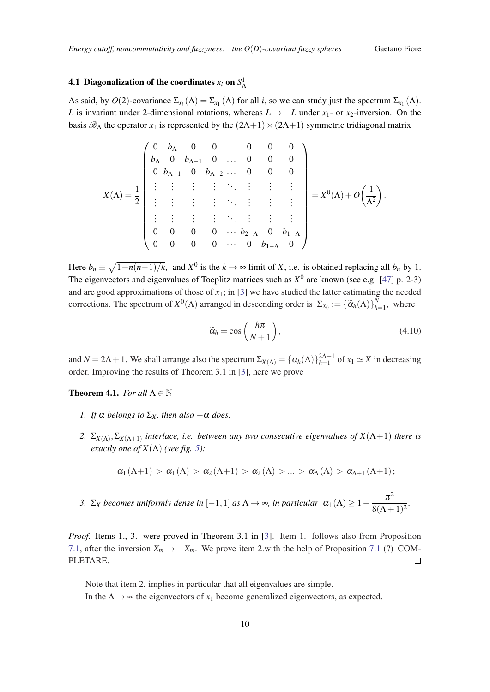# <span id="page-10-0"></span>**4.1 Diagonalization of the coordinates**  $x_i$  **on**  $S^1_\Lambda$

As said, by  $O(2)$ -covariance  $\Sigma_{x_i}(\Lambda) = \Sigma_{x_1}(\Lambda)$  for all *i*, so we can study just the spectrum  $\Sigma_{x_1}(\Lambda)$ . *L* is invariant under 2-dimensional rotations, whereas  $L \rightarrow -L$  under  $x_1$ - or  $x_2$ -inversion. On the basis  $\mathscr{B}_{\Lambda}$  the operator  $x_1$  is represented by the  $(2\Lambda+1)\times(2\Lambda+1)$  symmetric tridiagonal matrix

$$
X(\Lambda)=\frac{1}{2}\begin{pmatrix} 0 & b_\Lambda & 0 & 0 & \dots & 0 & 0 & 0 \\ b_\Lambda & 0 & b_{\Lambda-1} & 0 & \dots & 0 & 0 & 0 \\ 0 & b_{\Lambda-1} & 0 & b_{\Lambda-2} & \dots & 0 & 0 & 0 \\ \vdots & \vdots & \vdots & \vdots & \ddots & \vdots & \vdots & \vdots \\ \vdots & \vdots & \vdots & \vdots & \ddots & \vdots & \vdots & \vdots \\ 0 & 0 & 0 & 0 & \dots & b_{2-\Lambda} & 0 & b_{1-\Lambda} \\ 0 & 0 & 0 & 0 & \dots & 0 & b_{1-\Lambda} & 0 \end{pmatrix}=X^0(\Lambda)+O\left(\frac{1}{\Lambda^2}\right).
$$

Here  $b_n \equiv \sqrt{1 + n(n-1)/k}$ , and  $X^0$  is the  $k \to \infty$  limit of *X*, i.e. is obtained replacing all  $b_n$  by 1. The eigenvectors and eigenvalues of Toeplitz matrices such as  $X^0$  are known (see e.g. [\[47](#page-21-0)] p. 2-3) and are good approximations of those of  $x_1$ ; in [[3](#page-20-0)] we have studied the latter estimating the needed corrections. The spectrum of  $X^0(\Lambda)$  arranged in descending order is  $\Sigma_{X_0} := {\{\widetilde{\alpha}_h(\Lambda)\}}_h^N$  $\frac{n}{h+1}$ , where

$$
\widetilde{\alpha}_h = \cos\left(\frac{h\pi}{N+1}\right),\tag{4.10}
$$

and  $N = 2\Lambda + 1$ . We shall arrange also the spectrum  $\Sigma_{X(\Lambda)} = {\{\alpha_h(\Lambda)\}}_{h=1}^{2\Lambda+1}$  of  $x_1 \simeq X$  in decreasing order. Improving the results of Theorem 3.1 in [[3](#page-20-0)], here we prove

#### **Theorem 4.1.** *For all*  $\Lambda \in \mathbb{N}$

- *1. If*  $\alpha$  *belongs to*  $\Sigma_X$ *, then also*  $-\alpha$  *does.*
- 2.  $\Sigma_{X(\Lambda)}, \Sigma_{X(\Lambda+1)}$  interlace, i.e. between any two consecutive eigenvalues of  $X(\Lambda+1)$  there is *exactly one of*  $X(\Lambda)$  *(see fig. [5\)](#page-19-0):*

$$
\alpha_1\left(\Lambda+1\right)>\alpha_1\left(\Lambda\right)>\alpha_2\left(\Lambda+1\right)>\alpha_2\left(\Lambda\right)>\ldots>\alpha_{\Lambda}\left(\Lambda\right)>\alpha_{\Lambda+1}\left(\Lambda+1\right);
$$

*3.* Σ*x becomes uniformly dense in* [−1, 1] *as*  $\Lambda \to \infty$ *, in particular*  $\alpha_1(\Lambda) \geq 1 - \frac{\pi^2}{8(4\Lambda)}$  $\frac{n}{8(\Lambda+1)^2}$ 

*Proof.* Items 1., [3](#page-20-0). were proved in Theorem 3.1 in [3]. Item 1. follows also from Proposition [7.1,](#page-19-0) after the inversion  $X_m \mapsto -X_m$ . We prove item 2.with the help of Proposition [7.1](#page-19-0) (?) COM-PLETARE.  $\Box$ 

Note that item 2. implies in particular that all eigenvalues are simple. In the  $\Lambda \rightarrow \infty$  the eigenvectors of  $x_1$  become generalized eigenvectors, as expected.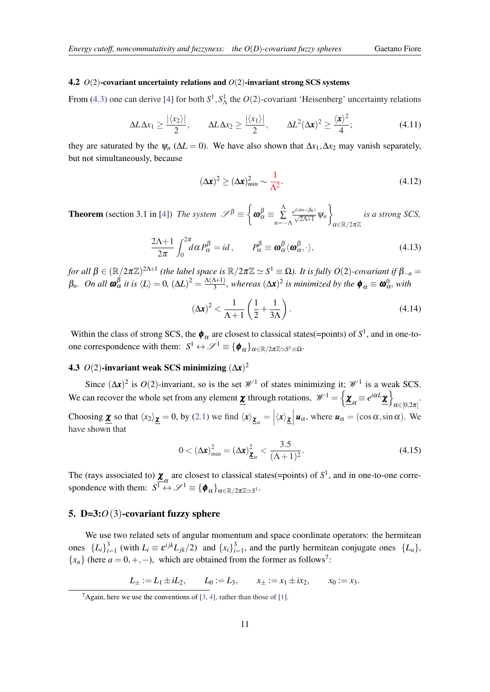#### <span id="page-11-0"></span>4.2 *O*(2)-covariant uncertainty relations and *O*(2)-invariant strong SCS systems

From [\(4.3\)](#page-8-0) one can derive [\[4\]](#page-20-0) for both  $S^1$ ,  $S^1$  the  $O(2)$ -covariant 'Heisenberg' uncertainty relations

$$
\Delta L \Delta x_1 \ge \frac{|\langle x_2 \rangle|}{2}, \qquad \Delta L \Delta x_2 \ge \frac{|\langle x_1 \rangle|}{2}, \qquad \Delta L^2 (\Delta \mathbf{x})^2 \ge \frac{\langle \mathbf{x} \rangle^2}{4}; \tag{4.11}
$$

they are saturated by the  $\psi_n$  ( $\Delta L = 0$ ). We have also shown that  $\Delta x_1, \Delta x_2$  may vanish separately, but not simultaneously, because

$$
(\Delta x)^2 \ge (\Delta x)^2_{min} \sim \frac{1}{\Lambda^2}.
$$
\n(4.12)

**Theorem** (section 3.1 in [[4](#page-20-0)]) *The system*  $\mathscr{S}^{\beta} \equiv \begin{cases} \end{cases}$  $\boldsymbol{\omega}_{\alpha}^{\beta} \equiv \ \frac{\Lambda}{\Sigma}$ ∑ *n*=−Λ  $\frac{e^{i(\alpha n+\beta_n)}}{\sqrt{2\Lambda+1}}$   $\Psi_n$  $\mathcal{L}$  $\alpha \in \mathbb{R}/2\pi\mathbb{Z}$ *is a strong SCS,*

$$
\frac{2\Lambda + 1}{2\pi} \int_0^{2\pi} d\alpha P_\alpha^\beta = id \,, \qquad P_\alpha^\beta \equiv \mathbf{\omega}_\alpha^\beta \langle \mathbf{\omega}_\alpha^\beta, \cdot \rangle, \tag{4.13}
$$

*for all*  $\beta \in (\R/2\pi\Z)^{2\Lambda+1}$  *(the label space is*  $\R/2\pi\Z \simeq S^1 \equiv \Omega$ ). It is fully  $O(2)$ -covariant if  $\beta_{-n} =$ β<sub>n</sub>. On all **ω**<sub>α</sub><sup>β</sup> it is  $\langle L \rangle = 0$ ,  $(\Delta L)^2 = \frac{\Lambda(\Lambda+1)}{3}$  $\frac{\Delta+1}{3}$ , whereas  $(\Delta x)^2$  is minimized by the  $\phi_\alpha \equiv \omega_\alpha^0$ , with

$$
\left(\Delta \mathbf{x}\right)^2 < \frac{1}{\Lambda + 1} \left(\frac{1}{2} + \frac{1}{3\Lambda}\right). \tag{4.14}
$$

Within the class of strong SCS, the  $\phi_\alpha$  are closest to classical states(=points) of  $S^1$ , and in one-toone correspondence with them:  $S^1 \leftrightarrow \mathscr{S}^1 \equiv {\phi_\alpha}_{\alpha \in \mathbb{R}/2\pi \mathbb{Z} \simeq S^1 \equiv \Omega}$ .

### **4.3**  $O(2)$ -invariant weak SCS minimizing  $(\Delta x)^2$

Since  $(\Delta x)^2$  is  $O(2)$ -invariant, so is the set  $\mathcal{W}^1$  of states minimizing it;  $\mathcal{W}^1$  is a weak SCS. We can recover the whole set from any element  $\underline{\mathbf{\chi}}$  through rotations,  $\mathscr{W}^1 = \left\{ \underline{\mathbf{\chi}}_{\alpha} \equiv e^{i\alpha L} \underline{\mathbf{\chi}} \right\}$ .<br> $\alpha \in [0, 2\pi[$ 

Choosing  $\underline{\mathbf{x}}$  so that  $\langle x_2 \rangle \underline{\mathbf{x}} = 0$ , by [\(2.1\)](#page-4-0) we find  $\langle x \rangle \underline{\mathbf{x}}_{\alpha} = |\langle x \rangle \underline{\mathbf{x}}| \underline{\mathbf{u}}_{\alpha}$ , where  $\underline{\mathbf{u}}_{\alpha} = (\cos \alpha, \sin \alpha)$ . We have shown that

$$
0 < \left(\Delta \mathbf{x}\right)_{\min}^2 = \left(\Delta \mathbf{x}\right)_{\underline{\mathbf{x}}_{\alpha}}^2 < \frac{3.5}{(\Lambda + 1)^2}.
$$
\n(4.15)

The (rays associated to)  $\underline{\mathbf{X}}_{\alpha}$  are closest to classical states(=points) of  $S^1$ , and in one-to-one correspondence with them:  $S^1 \leftrightarrow S^1 \equiv {\phi_\alpha}_{\alpha \in \mathbb{R}/2\pi \mathbb{Z} \simeq S^1}$ .

#### 5. D=3:*O*(3)-covariant fuzzy sphere

We use two related sets of angular momentum and space coordinate operators: the hermitean ones  ${L_i}_{i=1}^3$  (with  $L_i \equiv \varepsilon^{ijk} L_{jk}/2$ ) and  ${x_i}_{i=1}^3$ , and the partly hermitean conjugate ones  ${L_a}_{\}$ ,  ${x<sub>a</sub>}$  (here *a* = 0, +, −), which are obtained from the former as follows<sup>7</sup>:

 $L_{\pm} := L_1 \pm iL_2$ ,  $L_0 := L_3$ ,  $x_{\pm} := x_1 \pm ix_2$ ,  $x_0 := x_3$ .

<sup>&</sup>lt;sup>7</sup>Again, here we use the conventions of [[3](#page-20-0), [4](#page-20-0)], rather than those of [\[1\]](#page-20-0).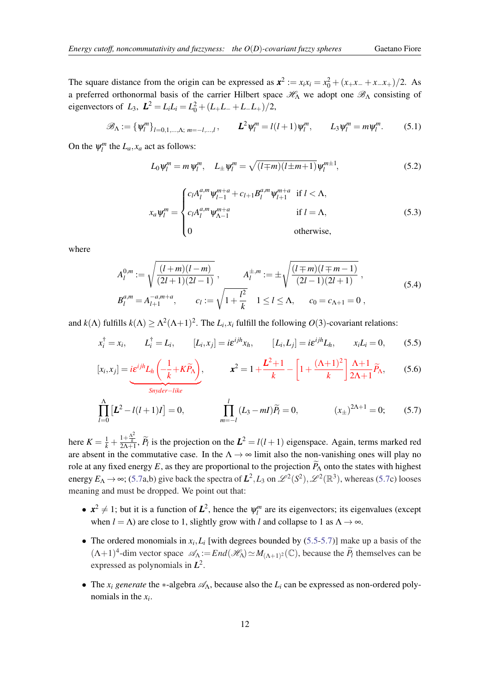<span id="page-12-0"></span>The square distance from the origin can be expressed as  $x^2 := x_i x_i = x_0^2 + (x_+ x_- + x_- x_+)/2$ . As a preferred orthonormal basis of the carrier Hilbert space  $\mathcal{H}_{\Lambda}$  we adopt one  $\mathcal{B}_{\Lambda}$  consisting of eigenvectors of  $L_3$ ,  $\mathbf{L}^2 = L_i L_i = L_0^2 + (L_+ L_- + L_- L_+)/2$ ,

$$
\mathscr{B}_{\Lambda} := \{ \psi_l^m \}_{l=0,1,\dots,\Lambda;\; m=-l,\dots,l}, \qquad \mathbf{L}^2 \psi_l^m = l(l+1) \psi_l^m, \qquad L_3 \psi_l^m = m \psi_l^m. \tag{5.1}
$$

On the  $\psi_l^m$  the  $L_a$ ,  $x_a$  act as follows:

$$
L_0 \psi_l^m = m \psi_l^m, \quad L_{\pm} \psi_l^m = \sqrt{(l \mp m)(l \pm m + 1)} \psi_l^{m \pm 1}, \tag{5.2}
$$

$$
x_a \psi_l^m = \begin{cases} c_l A_l^{a,m} \psi_{l-1}^{m+a} + c_{l+1} B_l^{a,m} \psi_{l+1}^{m+a} & \text{if } l < \Lambda, \\ c_l A_l^{a,m} \psi_{\Lambda-1}^{m+a} & \text{if } l = \Lambda, \\ 0 & \text{otherwise,} \end{cases}
$$
(5.3)

where

$$
A_l^{0,m} := \sqrt{\frac{(l+m)(l-m)}{(2l+1)(2l-1)}}, \qquad A_l^{\pm,m} := \pm \sqrt{\frac{(l\mp m)(l\mp m-1)}{(2l-1)(2l+1)}},
$$
  
\n
$$
B_l^{a,m} = A_{l+1}^{-a,m+a}, \qquad c_l := \sqrt{1 + \frac{l^2}{k}} \quad 1 \le l \le \Lambda, \qquad c_0 = c_{\Lambda+1} = 0,
$$
\n
$$
(5.4)
$$

and  $k(\Lambda)$  fulfills  $k(\Lambda) \geq \Lambda^2(\Lambda+1)^2$ . The  $L_i$ ,  $x_i$  fulfill the following  $O(3)$ -covariant relations:

$$
x_i^{\dagger} = x_i
$$
,  $L_i^{\dagger} = L_i$ ,  $[L_i, x_j] = i\epsilon^{ijk}x_h$ ,  $[L_i, L_j] = i\epsilon^{ijk}L_h$ ,  $x_iL_i = 0$ , (5.5)

$$
[x_i, x_j] = i\varepsilon^{ijh} L_h \left( -\frac{1}{k} + K\widetilde{P}_{\Lambda} \right), \qquad \mathbf{x}^2 = 1 + \frac{L^2 + 1}{k} - \left[ 1 + \frac{(\Lambda + 1)^2}{k} \right] \frac{\Lambda + 1}{2\Lambda + 1} \widetilde{P}_{\Lambda}, \qquad (5.6)
$$

$$
\prod_{l=0}^{\Lambda} \left[ L^2 - l(l+1)I \right] = 0, \qquad \prod_{m=-l}^{l} (L_3 - mI)\widetilde{P}_l = 0, \qquad (x_{\pm})^{2\Lambda + 1} = 0; \qquad (5.7)
$$

here  $K = \frac{1}{k} + \frac{1+\frac{\Lambda^2}{k}}{2\Lambda+1}$ ,  $\widetilde{P}_l$  is the projection on the  $L^2 = l(l+1)$  eigenspace. Again, terms marked red are absent in the commutative case. In the  $\Lambda \rightarrow \infty$  limit also the non-vanishing ones will play no role at any fixed energy E, as they are proportional to the projection  $\widetilde{P}_{\Lambda}$  onto the states with highest energy  $E_A \to \infty$ ; (5.7a,b) give back the spectra of  $L^2$ ,  $L_3$  on  $\mathscr{L}^2(S^2)$ ,  $\mathscr{L}^2(\mathbb{R}^3)$ , whereas (5.7c) looses meaning and must be dropped. We point out that:

- $x^2 \neq 1$ ; but it is a function of  $L^2$ , hence the  $\psi_l^m$  are its eigenvectors; its eigenvalues (except when  $l = \Lambda$ ) are close to 1, slightly grow with *l* and collapse to 1 as  $\Lambda \to \infty$ .
- The ordered monomials in  $x_i$ ,  $L_i$  [with degrees bounded by (5.5-5.7)] make up a basis of the  $(\Lambda + 1)^4$ -dim vector space  $\mathscr{A}_{\Lambda} := End(\mathscr{H}_{\Lambda}) \simeq M_{(\Lambda+1)^2}(\mathbb{C})$ , because the  $\widetilde{P}_l$  themselves can be expressed as polynomials in *L* 2 .
- The  $x_i$  generate the  $*$ -algebra  $\mathscr{A}_\Lambda$ , because also the  $L_i$  can be expressed as non-ordered polynomials in the *x<sup>i</sup>* .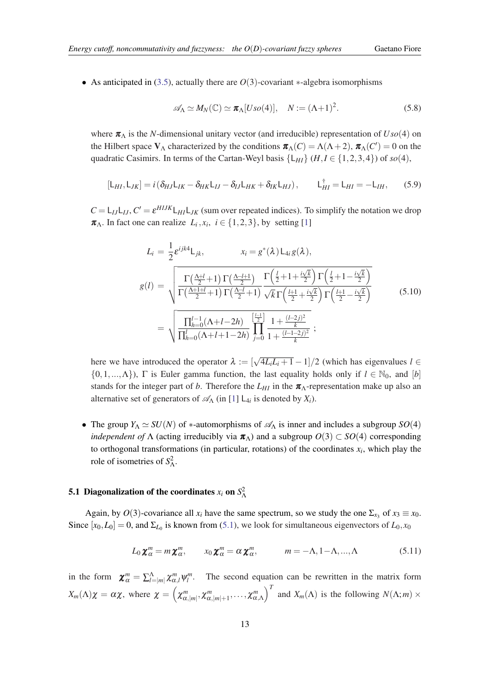<span id="page-13-0"></span>• As anticipated in ([3.5](#page-8-0)), actually there are *O*(3)-covariant ∗-algebra isomorphisms

$$
\mathscr{A}_{\Lambda} \simeq M_N(\mathbb{C}) \simeq \pi_{\Lambda}[Uso(4)], \quad N := (\Lambda + 1)^2. \tag{5.8}
$$

where  $\pi_{\Lambda}$  is the *N*-dimensional unitary vector (and irreducible) representation of  $U\text{so}(4)$  on the Hilbert space  $V_{\Lambda}$  characterized by the conditions  $\pi_{\Lambda}(C) = \Lambda(\Lambda + 2)$ ,  $\pi_{\Lambda}(C') = 0$  on the quadratic Casimirs. In terms of the Cartan-Weyl basis  $\{L_{HI}\}\ (H, I \in \{1, 2, 3, 4\})$  of *so*(4),

$$
[L_{HI}, L_{JK}] = i \left( \delta_{HJ} L_{IK} - \delta_{HK} L_{IJ} - \delta_{IJ} L_{HK} + \delta_{IK} L_{HJ} \right), \qquad L_{HI}^{\dagger} = L_{HI} = -L_{IH}, \qquad (5.9)
$$

 $C = L_{IJ}L_{IJ}$ ,  $C' = \varepsilon^{H IJK}L_{HI}L_{JK}$  (sum over repeated indices). To simplify the notation we drop  $\pi_{\Lambda}$ . In fact one can realize  $L_i$ ,  $x_i$ ,  $i \in \{1, 2, 3\}$  $i \in \{1, 2, 3\}$  $i \in \{1, 2, 3\}$ , by setting [1]

$$
L_{i} = \frac{1}{2} \varepsilon^{ijk4} L_{jk}, \qquad x_{i} = g^{*}(\lambda) L_{4i} g(\lambda),
$$
  
\n
$$
g(l) = \sqrt{\frac{\Gamma(\frac{\Lambda+l}{2} + 1) \Gamma(\frac{\Lambda-l+1}{2})}{\Gamma(\frac{\Lambda+l+l}{2} + 1) \Gamma(\frac{\Lambda-l}{2} + 1)} \frac{\Gamma(\frac{l}{2} + 1 + \frac{i\sqrt{k}}{2}) \Gamma(\frac{l}{2} + 1 - \frac{i\sqrt{k}}{2})}{\sqrt{k} \Gamma(\frac{l+1}{2} + \frac{i\sqrt{k}}{2}) \Gamma(\frac{l+1}{2} - \frac{i\sqrt{k}}{2})}}
$$
(5.10)  
\n
$$
= \sqrt{\frac{\prod_{h=0}^{l-1} (\Lambda + l - 2h)}{\prod_{h=0}^{l} (\Lambda + l + 1 - 2h)} \prod_{j=0}^{\left[\frac{l-1}{2}\right]} \frac{1 + \frac{(l-2j)^{2}}{k}}{1 + \frac{(l-1-2j)^{2}}{k}}};
$$

here we have introduced the operator  $\lambda := [\sqrt{4L_iL_i+1}-1]/2$  (which has eigenvalues  $l \in$  $\{0,1,..., \Lambda\}$ ),  $\Gamma$  is Euler gamma function, the last equality holds only if  $l \in \mathbb{N}_0$ , and  $[b]$ stands for the integer part of *b*. Therefore the  $L_{HI}$  in the  $\pi_A$ -representation make up also an alternative set of generators of  $\mathcal{A}_{\Lambda}$  (in [\[1\]](#page-20-0)  $L_{4i}$  is denoted by  $X_i$ ).

• The group  $Y_\Lambda \simeq SU(N)$  of \*-automorphisms of  $\mathscr{A}_\Lambda$  is inner and includes a subgroup  $SO(4)$ *independent of*  $\Lambda$  (acting irreducibly via  $\pi_{\Lambda}$ ) and a subgroup  $O(3) \subset SO(4)$  corresponding to orthogonal transformations (in particular, rotations) of the coordinates  $x_i$ , which play the role of isometries of  $S^2_\Lambda$ .

# **5.1 Diagonalization of the coordinates**  $x_i$  **on**  $S^2$

Again, by  $O(3)$ -covariance all  $x_i$  have the same spectrum, so we study the one  $\Sigma_{x_3}$  of  $x_3 \equiv x_0$ . Since  $[x_0, L_0] = 0$ , and  $\Sigma_{L_0}$  is known from [\(5.1](#page-12-0)), we look for simultaneous eigenvectors of  $L_0, x_0$ 

$$
L_0 \mathbf{\chi}_{\alpha}^m = m \mathbf{\chi}_{\alpha}^m, \qquad x_0 \mathbf{\chi}_{\alpha}^m = \alpha \mathbf{\chi}_{\alpha}^m, \qquad m = -\Lambda, 1 - \Lambda, ..., \Lambda \qquad (5.11)
$$

in the form  $\chi^m_\alpha = \sum_{l=|m|}^\Lambda \chi^m_{\alpha,l} \psi^m_l$ . The second equation can be rewritten in the matrix form  $X_m(\Lambda)\chi = \alpha\chi$ , where  $\chi = \left(\chi^m_{\alpha,|m|},\chi^m_{\alpha,|m|+1},\ldots,\chi^m_{\alpha,\Lambda}\right)^T$  and  $X_m(\Lambda)$  is the following  $N(\Lambda;m) \times$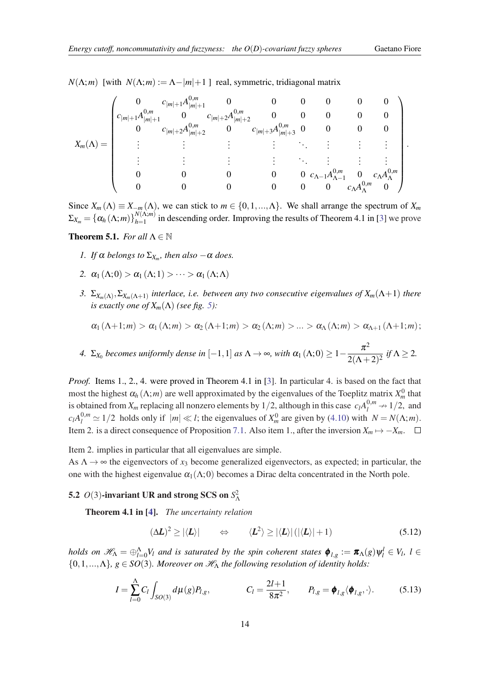<span id="page-14-0"></span> $N(\Lambda; m)$  [with  $N(\Lambda; m) := \Lambda - |m| + 1$ ] real, symmetric, tridiagonal matrix

$$
X_m(\Lambda) = \begin{pmatrix} 0 & c_{|m|+1}A_{|m|+1}^{0,m} & 0 & 0 & 0 & 0 & 0 & 0 \\ c_{|m|+1}A_{|m|+1}^{0,m} & 0 & c_{|m|+2}A_{|m|+2}^{0,m} & 0 & 0 & 0 & 0 & 0 \\ 0 & c_{|m|+2}A_{|m|+2}^{0,m} & 0 & c_{|m|+3}A_{|m|+3}^{0,m} & 0 & 0 & 0 & 0 \\ \vdots & \vdots & \vdots & \vdots & \ddots & \vdots & \vdots & \vdots \\ 0 & 0 & 0 & 0 & 0 & c_{\Lambda-1}A_{\Lambda-1}^{0,m} & 0 & c_{\Lambda}A_{\Lambda}^{0,m} \\ 0 & 0 & 0 & 0 & 0 & 0 & c_{\Lambda}A_{\Lambda}^{0,m} & 0 \end{pmatrix}.
$$

Since  $X_m(\Lambda) \equiv X_{-m}(\Lambda)$ , we can stick to  $m \in \{0, 1, ..., \Lambda\}$ . We shall arrange the spectrum of  $X_m$  $\Sigma_{X_m} = \left\{\alpha_h\left(\Lambda;m\right)\right\}_{h=1}^{N\left(\Lambda;m\right)}$  $\frac{f(N_1, m)}{h=1}$  in descending order. Improving the results of Theorem 4.1 in [[3](#page-20-0)] we prove

#### **Theorem 5.1.** *For all*  $\Lambda \in \mathbb{N}$

- *1. If*  $\alpha$  *belongs to*  $\Sigma_{X_m}$ *, then also*  $-\alpha$  *does.*
- 2.  $\alpha_1(\Lambda; 0) > \alpha_1(\Lambda; 1) > \cdots > \alpha_1(\Lambda; \Lambda)$
- *3.* Σ*Xm*(Λ) ,Σ*Xm*(Λ+1) *interlace, i.e. between any two consecutive eigenvalues of Xm*(Λ+1) *there is exactly one of*  $X_m(\Lambda)$  *(see fig. [5](#page-19-0)):*

$$
\alpha_1(\Lambda+1;m) > \alpha_1(\Lambda;m) > \alpha_2(\Lambda+1;m) > \alpha_2(\Lambda;m) > ... > \alpha_\Lambda(\Lambda;m) > \alpha_{\Lambda+1}(\Lambda+1;m);
$$

4. 
$$
\Sigma_{X_0}
$$
 becomes uniformly dense in  $[-1,1]$  as  $\Lambda \to \infty$ , with  $\alpha_1(\Lambda;0) \ge 1 - \frac{\pi^2}{2(\Lambda+2)^2}$  if  $\Lambda \ge 2$ .

*Proof.* Items 1., 2., 4. were proved in Theorem 4.1 in [\[3\]](#page-20-0). In particular 4. is based on the fact that most the highest  $\alpha_h(\Lambda; m)$  are well approximated by the eigenvalues of the Toeplitz matrix  $X_m^0$  that is obtained from  $X_m$  replacing all nonzero elements by 1/2, although in this case  $c_l A_l^{0,m} \to 1/2$ , and  $c_l A_l^{0,m} \simeq 1/2$  holds only if  $|m| \ll l$ ; the eigenvalues of  $X_m^0$  are given by ([4.10\)](#page-10-0) with  $N = N(\Lambda; m)$ . Item 2. is a direct consequence of Proposition [7.1.](#page-19-0) Also item 1., after the inversion  $X_m \mapsto -X_m$ . □

Item 2. implies in particular that all eigenvalues are simple.

As  $\Lambda \rightarrow \infty$  the eigenvectors of  $x_3$  become generalized eigenvectors, as expected; in particular, the one with the highest eigenvalue  $\alpha_1(\Lambda; 0)$  becomes a Dirac delta concentrated in the North pole.

# 5.2  $O(3)$ -invariant UR and strong SCS on  $S^2$ <sub> $\Lambda$ </sub>

Theorem 4.1 in [\[4\]](#page-20-0). *The uncertainty relation*

$$
(\Delta L)^2 \ge |\langle L \rangle| \qquad \Leftrightarrow \qquad \langle L^2 \rangle \ge |\langle L \rangle| \left( |\langle L \rangle| + 1 \right) \tag{5.12}
$$

*holds on*  $\mathscr{H}_{\Lambda} = \oplus_{l=0}^{\Lambda} V_l$  *and is saturated by the spin coherent states*  $\pmb{\phi}_{l,g} := \pmb{\pi}_{\Lambda}(g) \psi_l^l \in V_l$ ,  $l \in$  $\{0,1,..., \Lambda\}, g \in SO(3)$ *. Moreover on*  $\mathcal{H}_{\Lambda}$  the following resolution of identity holds:

$$
I = \sum_{l=0}^{A} C_l \int_{SO(3)} d\mu(g) P_{l,g}, \qquad C_l = \frac{2l+1}{8\pi^2}, \qquad P_{l,g} = \pmb{\phi}_{l,g} \langle \pmb{\phi}_{l,g}, \cdot \rangle. \tag{5.13}
$$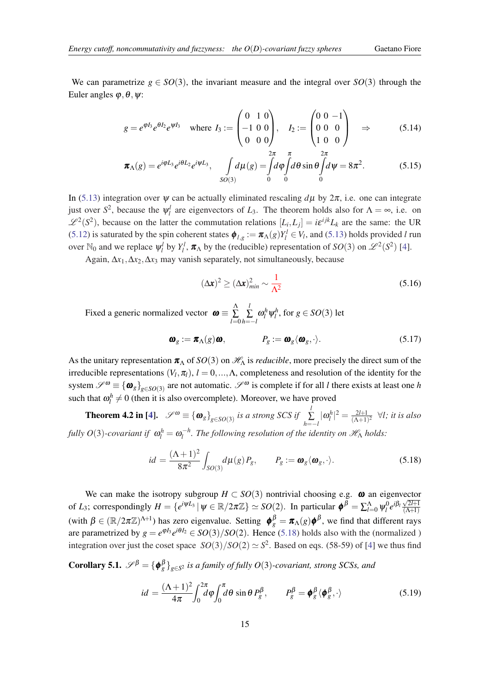We can parametrize  $g \in SO(3)$ , the invariant measure and the integral over  $SO(3)$  through the Euler angles  $\varphi, \theta, \psi$ :

$$
g = e^{\varphi I_3} e^{\theta I_2} e^{\psi I_3} \quad \text{where } I_3 := \begin{pmatrix} 0 & 1 & 0 \\ -1 & 0 & 0 \\ 0 & 0 & 0 \end{pmatrix}, \quad I_2 := \begin{pmatrix} 0 & 0 & -1 \\ 0 & 0 & 0 \\ 1 & 0 & 0 \end{pmatrix} \quad \Rightarrow \tag{5.14}
$$

$$
\boldsymbol{\pi}_{\Lambda}(g) = e^{i\varphi L_3} e^{i\theta L_2} e^{i\psi L_3}, \quad \int_{SO(3)} d\mu(g) = \int_0^{2\pi} d\varphi \int_0^{\pi} d\theta \sin \theta \int_0^{2\pi} d\psi = 8\pi^2. \tag{5.15}
$$

In [\(5.13](#page-14-0)) integration over  $\psi$  can be actually eliminated rescaling  $d\mu$  by  $2\pi$ , i.e. one can integrate just over  $S^2$ , because the  $\psi_i^l$  are eigenvectors of  $L_3$ . The theorem holds also for  $\Lambda = \infty$ , i.e. on  $\mathscr{L}^2(S^2)$ , because on the latter the commutation relations  $[L_i, L_j] = i \varepsilon^{ijk} L_k$  are the same: the UR ([5.12](#page-14-0)) is saturated by the spin coherent states  $\phi_{l,g} := \pi_{\Lambda}(g)Y_l^l \in V_l$ , and ([5.13\)](#page-14-0) holds provided *l* run over N<sub>0</sub> and we replace  $\psi_l^l$  by  $Y_l^l$ ,  $\pi_A$  by the (reducible) representation of *SO*(3) on  $\mathscr{L}^2(S^2)$  [\[4](#page-20-0)].

Again,  $\Delta x_1, \Delta x_2, \Delta x_3$  may vanish separately, not simultaneously, because

$$
(\Delta x)^2 \ge (\Delta x)^2_{min} \sim \frac{1}{\Lambda^2}
$$
\n(5.16)

Fixed a generic normalized vector  $\boldsymbol{\omega} \equiv \sum^{\Lambda}$ ∑ *l*=0 *l*  $\sum_{h=-l}^{L} \omega_l^h \psi_l^h$ , for  $g \in SO(3)$  let

$$
\boldsymbol{\omega}_g := \boldsymbol{\pi}_{\Lambda}(g) \boldsymbol{\omega}, \qquad \qquad P_g := \boldsymbol{\omega}_g \langle \boldsymbol{\omega}_g, \cdot \rangle. \tag{5.17}
$$

As the unitary representation  $\pi_A$  of  $SO(3)$  on  $\mathcal{H}_{\Lambda}$  is *reducible*, more precisely the direct sum of the irreducible representations  $(V_l, \pi_l)$ ,  $l = 0, ..., \Lambda$ , completeness and resolution of the identity for the system  $\mathscr{S}^{\omega} \equiv {\{\bm{\omega}_g\}}_{g \in SO(3)}$  are not automatic.  $\mathscr{S}^{\omega}$  is complete if for all *l* there exists at least one *h* such that  $\omega_l^h \neq 0$  (then it is also overcomplete). Moreover, we have proved

**Theorem 4.2 in [\[4\]](#page-20-0).**  $\mathscr{S}^{\omega} \equiv {\omega_g}_{g \in SO(3)}$  *is a strong SCS if*  $\sum_{i=1}^{N}$  $\sum_{h=-l}^{l} |\omega_l^h|^2 = \frac{2l+1}{(\Lambda+1)}$  $rac{2l+1}{(\Lambda+1)^2}$   $\forall l$ ; *it is also fully O*(3)-covariant if  $\omega_l^h = \omega_l^{-h}$ . The following resolution of the identity on  $\mathscr{H}_{\Lambda}$  holds:

$$
id = \frac{(\Lambda + 1)^2}{8\pi^2} \int_{SO(3)} d\mu(g) P_g, \qquad P_g := \mathbf{\omega}_g \langle \mathbf{\omega}_g, \cdot \rangle. \tag{5.18}
$$

We can make the isotropy subgroup  $H \subset SO(3)$  nontrivial choosing e.g.  $\omega$  an eigenvector of *L*<sub>3</sub>; correspondingly  $H = \{e^{i\psi L_3} | \psi \in \mathbb{R}/2\pi\mathbb{Z}\} \simeq SO(2)$ . In particular  $\pmb{\phi}^{\beta} = \sum_{l=0}^{\Lambda} \psi_l^0 e^{i\beta_l} \frac{\sqrt{2}l+1}{(\Lambda+1)}$  $(\Lambda + 1)$ (with  $\beta \in (\mathbb{R}/2\pi\mathbb{Z})^{\Lambda+1}$ ) has zero eigenvalue. Setting  $\phi_g^{\beta} = \pi_{\Lambda}(g)\phi^{\beta}$ , we find that different rays are parametrized by  $g = e^{\varphi I_3} e^{i\theta I_2} \in SO(3)/SO(2)$ . Hence (5.18) holds also with the (normalized) integration over just the coset space  $SO(3)/SO(2) \simeq S^2$ . Based on eqs. (58-59) of [\[4\]](#page-20-0) we thus find

**Corollary 5.1.**  $\mathscr{S}^{\beta} = {\phi^{\beta}_{g}}_{g \in S^2}$  is a family of fully O(3)-covariant, strong SCSs, and

$$
id = \frac{(\Lambda + 1)^2}{4\pi} \int_0^{2\pi} d\varphi \int_0^{\pi} d\theta \sin \theta P_g^{\beta}, \qquad P_g^{\beta} = \pmb{\phi}_g^{\beta} \langle \pmb{\phi}_g^{\beta}, \cdot \rangle \tag{5.19}
$$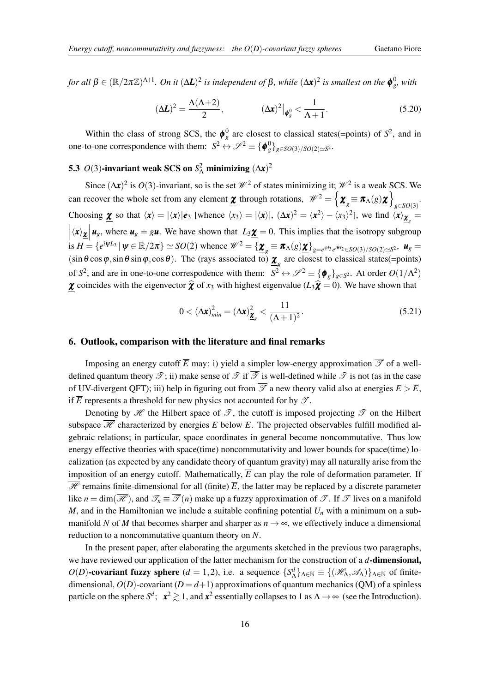<span id="page-16-0"></span>*for all* β ∈ ( $\mathbb{R}/2π\mathbb{Z})^{\Lambda+1}$ . On it ( $ΔL$ )<sup>2</sup> is independent of β, while ( $Δx$ )<sup>2</sup> is smallest on the  $φ_{g}^0$ , with

$$
(\Delta L)^2 = \frac{\Lambda(\Lambda + 2)}{2}, \qquad (\Delta x)^2 \big|_{\phi^0_s} < \frac{1}{\Lambda + 1}.\tag{5.20}
$$

Within the class of strong SCS, the  $\phi_g^0$  are closest to classical states(=points) of  $S^2$ , and in one-to-one correspondence with them:  $S^2 \leftrightarrow \mathscr{S}^2 \equiv {\phi_g^0}_{g \in SO(3)/SO(2) \simeq S^2}$ .

# 5.3 *O*(3)-invariant weak SCS on  $S^2$  minimizing  $(\Delta x)^2$

Since  $(\Delta x)^2$  is  $O(3)$ -invariant, so is the set  $\mathcal{W}^2$  of states minimizing it;  $\mathcal{W}^2$  is a weak SCS. We can recover the whole set from any element *<u>x</u>* through rotations,  $\mathscr{W}^2 = \left\{ \underline{\boldsymbol{x}}_g \equiv \boldsymbol{\pi}(\mathbf{x}) \underline{\boldsymbol{x}} \right\}$ *g*∈*SO*(3) . Choosing  $\underline{\mathbf{x}}$  so that  $\langle \mathbf{x} \rangle = |\langle \mathbf{x} \rangle| \mathbf{e}_3$  [whence  $\langle x_3 \rangle = |\langle \mathbf{x} \rangle|$ ,  $(\Delta \mathbf{x})^2 = \langle \mathbf{x}^2 \rangle - \langle x_3 \rangle^2$ ], we find  $\langle \mathbf{x} \rangle_{\underline{\mathbf{x}}_g}$  $\left|\langle x \rangle \underline{\chi} \right| u_g$ , where  $u_g = g \underline{u}$ . We have shown that  $L_3 \underline{\chi} = 0$ . This implies that the isotropy subgroup  $\cdot$ is  $H = \{e^{i\psi L_3} | \psi \in \mathbb{R}/2\pi\} \simeq SO(2)$  whence  $\mathscr{W}^2 = \{\mathbf{\underline{\chi}}_g \equiv \pi_\Lambda(g)\mathbf{\underline{\chi}}\}_{g=e^{\varphi L_3}e^{i\theta L_2} \in SO(3)/SO(2) \simeq S^2}, \mathbf{u}_g =$  $(\sin\theta\cos\varphi, \sin\theta\sin\varphi, \cos\theta)$ . The (rays associated to)  $\underline{\chi}_g$  are closest to classical states(=points) of  $S^2$ , and are in one-to-one correspodence with them:  $S^2 \leftrightarrow \mathscr{S}^2 \equiv {\phi_g}_{g \in S^2}$ . At order  $O(1/\Lambda^2)$ **χ** coincides with the eigenvector  $\hat{\boldsymbol{\chi}}$  of  $x_3$  with highest eigenvalue ( $L_3\hat{\boldsymbol{\chi}} = 0$ ). We have shown that

$$
0 < \left(\Delta \mathbf{x}\right)_{\min}^2 = \left(\Delta \mathbf{x}\right)_{\mathbf{Z}_g}^2 < \frac{11}{\left(\Lambda + 1\right)^2}.
$$
\n(5.21)

### 6. Outlook, comparison with the literature and final remarks

Imposing an energy cutoff  $\overline{E}$  may: i) yield a simpler low-energy approximation  $\overline{\mathscr{T}}$  of a welldefined quantum theory  $\mathscr{T}$ ; ii) make sense of  $\mathscr{T}$  if  $\overline{\mathscr{T}}$  is well-defined while  $\mathscr{T}$  is not (as in the case of UV-divergent QFT); iii) help in figuring out from  $\overline{\mathscr{T}}$  a new theory valid also at energies  $E > \overline{E}$ , if  $\overline{E}$  represents a threshold for new physics not accounted for by  $\mathscr{T}$ .

Denoting by  $\mathscr H$  the Hilbert space of  $\mathscr T$ , the cutoff is imposed projecting  $\mathscr T$  on the Hilbert subspace  $\overline{\mathcal{H}}$  characterized by energies *E* below  $\overline{E}$ . The projected observables fulfill modified algebraic relations; in particular, space coordinates in general become noncommutative. Thus low energy effective theories with space(time) noncommutativity and lower bounds for space(time) localization (as expected by any candidate theory of quantum gravity) may all naturally arise from the imposition of an energy cutoff. Mathematically,  $\overline{E}$  can play the role of deformation parameter. If  $\mathcal{H}$  remains finite-dimensional for all (finite)  $\overline{E}$ , the latter may be replaced by a discrete parameter like  $n = \dim(\mathcal{H})$ , and  $\mathcal{T}_n \equiv \mathcal{T}(n)$  make up a fuzzy approximation of  $\mathcal{T}$ . If  $\mathcal{T}$  lives on a manifold *M*, and in the Hamiltonian we include a suitable confining potential  $U_n$  with a minimum on a submanifold *N* of *M* that becomes sharper and sharper as  $n \to \infty$ , we effectively induce a dimensional reduction to a noncommutative quantum theory on *N*.

In the present paper, after elaborating the arguments sketched in the previous two paragraphs, we have reviewed our application of the latter mechanism for the construction of a *d*-dimensional, *O*(*D*)-covariant fuzzy sphere (*d* = 1,2), i.e. a sequence  $\{S^d_\Lambda\}_{\Lambda \in \mathbb{N}} \equiv \{(\mathcal{H}_\Lambda, \mathcal{A}_\Lambda)\}_{\Lambda \in \mathbb{N}}$  of finitedimensional,  $O(D)$ -covariant ( $D = d+1$ ) approximations of quantum mechanics (QM) of a spinless particle on the sphere  $S^d$ ;  $\mathbf{x}^2 \gtrsim 1$ , and  $\mathbf{x}^2$  essentially collapses to 1 as  $\Lambda \to \infty$  (see the Introduction).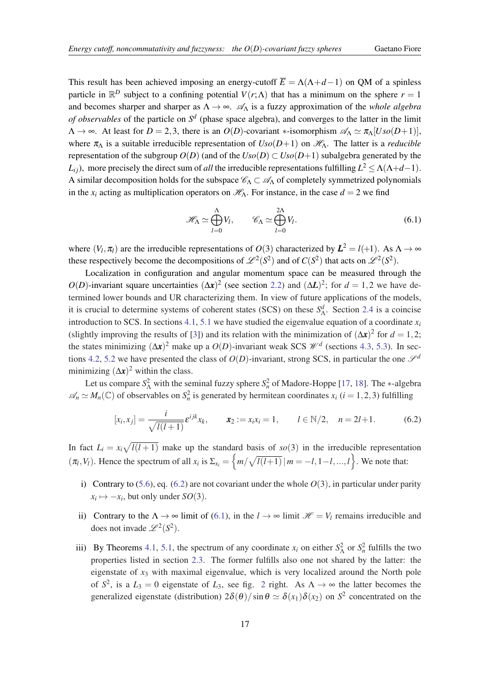This result has been achieved imposing an energy-cutoff  $\overline{E} = \Lambda(\Lambda + d - 1)$  on QM of a spinless particle in  $\mathbb{R}^D$  subject to a confining potential  $V(r;\Lambda)$  that has a minimum on the sphere  $r=1$ and becomes sharper and sharper as  $\Lambda \to \infty$ .  $\mathscr{A}_{\Lambda}$  is a fuzzy approximation of the *whole algebra of observables* of the particle on *S d* (phase space algebra), and converges to the latter in the limit  $\Lambda \to \infty$ . At least for  $D = 2, 3$ , there is an  $O(D)$ -covariant \*-isomorphism  $\mathscr{A}_{\Lambda} \simeq \pi_{\Lambda} [Uso(D+1)],$ where  $\pi_{\Lambda}$  is a suitable irreducible representation of  $Uso(D+1)$  on  $\mathscr{H}_{\Lambda}$ . The latter is a *reducible* representation of the subgroup  $O(D)$  (and of the  $Uso(D) \subset Uso(D+1)$  subalgebra generated by the *L*<sub>*i*</sub>), more precisely the direct sum of *all* the irreducible representations fulfilling  $L^2 \leq \Lambda(\Lambda + d - 1)$ . A similar decomposition holds for the subspace  $\mathscr{C}_{\Lambda} \subset \mathscr{A}_{\Lambda}$  of completely symmetrized polynomials in the  $x_i$  acting as multiplication operators on  $\mathcal{H}_{\Lambda}$ . For instance, in the case  $d = 2$  we find

$$
\mathcal{H}_{\Lambda} \simeq \bigoplus_{l=0}^{\Lambda} V_l, \qquad \mathcal{C}_{\Lambda} \simeq \bigoplus_{l=0}^{2\Lambda} V_l.
$$
 (6.1)

where  $(V_l, \pi_l)$  are the irreducible representations of  $O(3)$  characterized by  $L^2 = l(+1)$ . As  $\Lambda \to \infty$ these respectively become the decompositions of  $\mathscr{L}^2(S^2)$  and of  $C(S^2)$  that acts on  $\mathscr{L}^2(S^2)$ .

Localization in configuration and angular momentum space can be measured through the  $O(D)$ -invariant square uncertainties  $(\Delta x)^2$  (see section [2.2](#page-5-0)) and  $(\Delta L)^2$ ; for  $d = 1,2$  we have determined lower bounds and UR characterizing them. In view of future applications of the models, it is crucial to determine systems of coherent states (SCS) on these  $S^d_\Lambda$ . Section [2.4](#page-6-0) is a coincise introduction to SCS. In sections [4.1,](#page-10-0) [5.1](#page-13-0) we have studied the eigenvalue equation of a coordinate  $x_i$ (slightly improving the results of [\[3\]](#page-20-0)) and its relation with the minimization of  $(\Delta x)^2$  for  $d = 1, 2$ ; the states minimizing  $(\Delta x)^2$  make up a  $O(D)$ -invariant weak SCS  $\mathcal{W}^d$  (sections [4.3](#page-11-0), [5.3\)](#page-16-0). In sec-tions [4.2](#page-11-0), [5.2](#page-14-0) we have presented the class of  $O(D)$ -invariant, strong SCS, in particular the one  $\mathscr{S}^d$ minimizing  $(\Delta x)^2$  within the class.

Let us compare  $S^2$  with the seminal fuzzy sphere  $S^2$  of Madore-Hoppe [[17,](#page-20-0) [18\]](#page-21-0). The ∗-algebra  $\mathscr{A}_n \simeq M_n(\mathbb{C})$  of observables on  $S_n^2$  is generated by hermitean coordinates  $x_i$  (*i* = 1, 2, 3) fulfilling

$$
[x_i, x_j] = \frac{i}{\sqrt{l(l+1)}} \varepsilon^{ijk} x_k, \qquad x_2 := x_i x_i = 1, \qquad l \in \mathbb{N}/2, \quad n = 2l+1. \tag{6.2}
$$

In fact  $L_i = x_i \sqrt{l(l+1)}$  make up the standard basis of  $so(3)$  in the irreducible representation  $(\pi_l, V_l)$ . Hence the spectrum of all  $x_i$  is  $\Sigma_{x_i} = \left\{ m / \sqrt{l(l+1)} \, | \, m = -l, 1-l, ..., l \right\}$ . We note that:

- i) Contrary to  $(5.6)$  $(5.6)$  $(5.6)$ , eq.  $(6.2)$  are not covariant under the whole  $O(3)$ , in particular under parity  $x_i \mapsto -x_i$ , but only under *SO*(3).
- ii) Contrary to the  $\Lambda \to \infty$  limit of (6.1), in the  $l \to \infty$  limit  $\mathcal{H} = V_l$  remains irreducible and does not invade  $\mathscr{L}^2(S^2)$ .
- iii) By Theorems [4.1,](#page-10-0) [5.1](#page-14-0), the spectrum of any coordinate  $x_i$  on either  $S^2$  or  $S^2$  fulfills the two properties listed in section [2.3.](#page-5-0) The former fulfills also one not shared by the latter: the eigenstate of *x*<sup>3</sup> with maximal eigenvalue, which is very localized around the North pole of  $S^2$  $S^2$ , is a  $L_3 = 0$  eigenstate of  $L_3$ , see fig. 2 right. As  $\Lambda \to \infty$  the latter becomes the generalized eigenstate (distribution)  $2\delta(\theta)/\sin\theta \simeq \delta(x_1)\delta(x_2)$  on  $S^2$  concentrated on the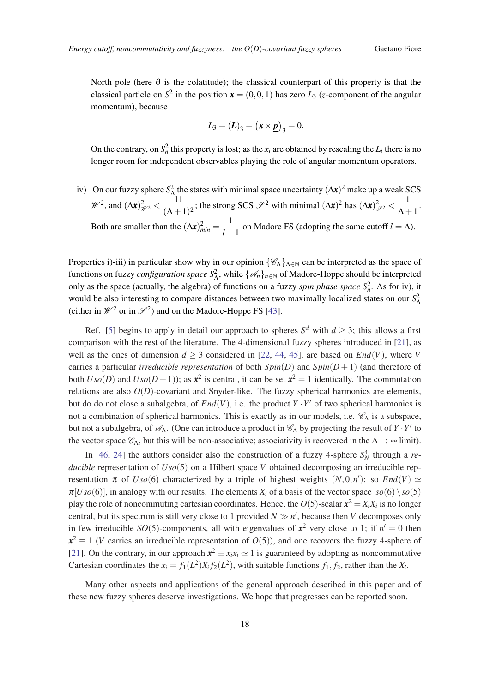North pole (here  $\theta$  is the colatitude); the classical counterpart of this property is that the classical particle on  $S^2$  in the position  $\boldsymbol{x} = (0,0,1)$  has zero  $L_3$  (*z*-component of the angular momentum), because

$$
L_3 = (\underline{\boldsymbol{L}})_3 = (\underline{\boldsymbol{x}} \times \underline{\boldsymbol{p}})_3 = 0.
$$

On the contrary, on  $S_n^2$  this property is lost; as the  $x_i$  are obtained by rescaling the  $L_i$  there is no longer room for independent observables playing the role of angular momentum operators.

iv) On our fuzzy sphere  $S^2$  the states with minimal space uncertainty  $(\Delta x)^2$  make up a weak SCS  $\mathscr{W}^2$ , and  $(\Delta x)_{\mathscr{W}^2}^2 < \frac{11}{(\Delta + 1)^2}$  $\frac{11}{(\Lambda+1)^2}$ ; the strong SCS  $\mathscr{S}^2$  with minimal  $(\Delta x)^2$  has  $(\Delta x)^2_{\mathscr{S}^2} < \frac{1}{\Lambda+1}$  $\frac{1}{\Lambda+1}$ . Both are smaller than the  $(\Delta x)_{min}^2 = \frac{1}{1+\Delta}$  $\frac{1}{l+1}$  on Madore FS (adopting the same cutoff  $l = \Lambda$ ).

Properties i)-iii) in particular show why in our opinion  $\{\mathscr{C}_{\Lambda}\}_{\Lambda \in \mathbb{N}}$  can be interpreted as the space of functions on fuzzy *configuration space*  $S^2_\Lambda$ , while  $\{\mathscr{A}_n\}_{n\in\mathbb{N}}$  of Madore-Hoppe should be interpreted only as the space (actually, the algebra) of functions on a fuzzy *spin phase space*  $S_n^2$ . As for iv), it would be also interesting to compare distances between two maximally localized states on our *S* 2 Λ (either in  $\mathcal{W}^2$  or in  $\mathcal{S}^2$ ) and on the Madore-Hoppe FS [\[43](#page-21-0)].

Ref. [[5](#page-20-0)] begins to apply in detail our approach to spheres  $S^d$  with  $d \geq 3$ ; this allows a first comparison with the rest of the literature. The 4-dimensional fuzzy spheres introduced in [[21](#page-21-0)], as well as the ones of dimension  $d > 3$  considered in [[22,](#page-21-0) [44](#page-21-0), [45](#page-21-0)], are based on *End*(*V*), where *V* carries a particular *irreducible representation* of both  $Spin(D)$  and  $Spin(D+1)$  (and therefore of both  $Uso(D)$  and  $Uso(D+1)$ ); as  $x^2$  is central, it can be set  $x^2 = 1$  identically. The commutation relations are also  $O(D)$ -covariant and Snyder-like. The fuzzy spherical harmonics are elements, but do do not close a subalgebra, of  $End(V)$ , i.e. the product  $Y \cdot Y'$  of two spherical harmonics is not a combination of spherical harmonics. This is exactly as in our models, i.e.  $\mathcal{C}_{\Lambda}$  is a subspace, but not a subalgebra, of  $\mathcal{A}_\Lambda$ . (One can introduce a product in  $\mathcal{C}_\Lambda$  by projecting the result of  $Y \cdot Y'$  to the vector space  $\mathcal{C}_\Lambda$ , but this will be non-associative; associativity is recovered in the  $\Lambda \to \infty$  limit).

In [\[46](#page-21-0), [24\]](#page-21-0) the authors consider also the construction of a fuzzy 4-sphere  $S_N^4$  through a *reducible* representation of *Uso*(5) on a Hilbert space *V* obtained decomposing an irreducible representation  $\pi$  of  $Uso(6)$  characterized by a triple of highest weights  $(N,0,n')$ ; so  $End(V) \simeq$  $\pi$ [*Uso*(6)], in analogy with our results. The elements  $X_i$  of a basis of the vector space  $so(6) \setminus so(5)$ play the role of noncommuting cartesian coordinates. Hence, the  $O(5)$ -scalar  $\mathbf{x}^2 = X_i X_i$  is no longer central, but its spectrum is still very close to 1 provided  $N \gg n'$ , because then *V* decomposes only in few irreducible *SO*(5)-components, all with eigenvalues of  $x^2$  very close to 1; if  $n' = 0$  then  $x^2 \equiv 1$  (*V* carries an irreducible representation of  $O(5)$ ), and one recovers the fuzzy 4-sphere of [[21\]](#page-21-0). On the contrary, in our approach  $x^2 \equiv x_i x_i \approx 1$  is guaranteed by adopting as noncommutative Cartesian coordinates the  $x_i = f_1(L^2)X_i f_2(L^2)$ , with suitable functions  $f_1, f_2$ , rather than the  $X_i$ .

Many other aspects and applications of the general approach described in this paper and of these new fuzzy spheres deserve investigations. We hope that progresses can be reported soon.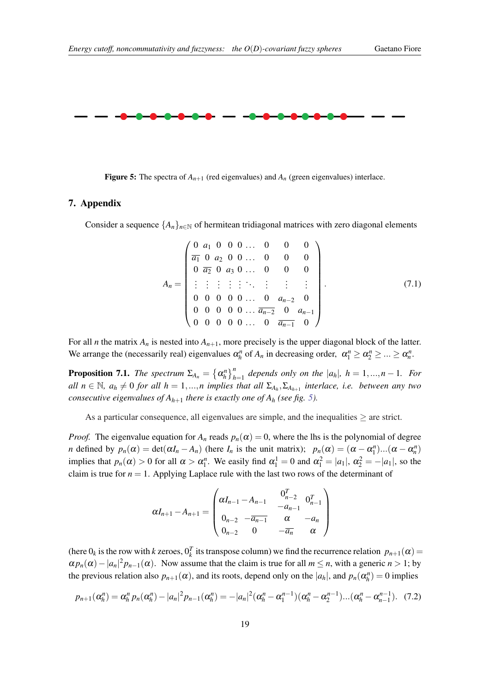<span id="page-19-0"></span>

Figure 5: The spectra of  $A_{n+1}$  (red eigenvalues) and  $A_n$  (green eigenvalues) interlace.

### 7. Appendix

Consider a sequence  $\{A_n\}_{n\in\mathbb{N}}$  of hermitean tridiagonal matrices with zero diagonal elements

$$
A_n = \begin{pmatrix} 0 & a_1 & 0 & 0 & 0 & \dots & 0 & 0 & 0 \\ \overline{a_1} & 0 & a_2 & 0 & 0 & \dots & 0 & 0 & 0 \\ 0 & \overline{a_2} & 0 & a_3 & 0 & \dots & 0 & 0 & 0 \\ \vdots & \vdots & \vdots & \vdots & \ddots & \vdots & \vdots & \vdots & \vdots \\ 0 & 0 & 0 & 0 & 0 & \dots & 0 & a_{n-2} & 0 \\ 0 & 0 & 0 & 0 & 0 & \dots & \overline{a_{n-2}} & 0 & a_{n-1} \\ 0 & 0 & 0 & 0 & 0 & \dots & 0 & \overline{a_{n-1}} & 0 \end{pmatrix}.
$$
 (7.1)

For all *n* the matrix  $A_n$  is nested into  $A_{n+1}$ , more precisely is the upper diagonal block of the latter. We arrange the (necessarily real) eigenvalues  $\alpha_h^n$  of  $A_n$  in decreasing order,  $\alpha_1^n \ge \alpha_2^n \ge ... \ge \alpha_n^n$ .

**Proposition 7.1.** *The spectrum*  $\Sigma_{A_n} = {\{\alpha_h^n\}}_{h=1}^n$  *depends only on the*  $|a_h|$ ,  $h = 1, ..., n - 1$ *. For*  $all \ n \in \mathbb{N}, \ a_h \neq 0 \ for \ all \ h = 1,...,n \ implies \ that \ all \ \Sigma_{A_h}, \Sigma_{A_{h+1}} \$ interlace, i.e. between any two *consecutive eigenvalues of*  $A_{h+1}$  *there is exactly one of*  $A_h$  *(see fig. 5).* 

As a particular consequence, all eigenvalues are simple, and the inequalities  $\geq$  are strict.

*Proof.* The eigenvalue equation for  $A_n$  reads  $p_n(\alpha) = 0$ , where the lhs is the polynomial of degree *n* defined by  $p_n(\alpha) = \det(\alpha I_n - A_n)$  (here  $I_n$  is the unit matrix);  $p_n(\alpha) = (\alpha - \alpha_1^n) \dots (\alpha - \alpha_n^n)$ implies that  $p_n(\alpha) > 0$  for all  $\alpha > \alpha_1^n$ . We easily find  $\alpha_1^1 = 0$  and  $\alpha_1^2 = |a_1|$ ,  $\alpha_2^2 = -|a_1|$ , so the claim is true for  $n = 1$ . Applying Laplace rule with the last two rows of the determinant of

$$
\alpha I_{n+1} - A_{n+1} = \begin{pmatrix} \alpha I_{n-1} - A_{n-1} & 0_{n-2}^T & 0_{n-1}^T \\ 0_{n-2} & -\overline{a_{n-1}} & \alpha & -a_n \\ 0_{n-2} & 0 & -\overline{a_n} & \alpha \end{pmatrix}
$$

(here  $0_k$  is the row with *k* zeroes,  $0_k^T$  its transpose column) we find the recurrence relation  $p_{n+1}(\alpha) =$  $\alpha p_n(\alpha) - |a_n|^2 p_{n-1}(\alpha)$ . Now assume that the claim is true for all  $m \le n$ , with a generic  $n > 1$ ; by the previous relation also  $p_{n+1}(\alpha)$ , and its roots, depend only on the  $|a_h|$ , and  $p_n(\alpha_h^n) = 0$  implies

$$
p_{n+1}(\alpha_h^n) = \alpha_h^n p_n(\alpha_h^n) - |a_n|^2 p_{n-1}(\alpha_h^n) = -|a_n|^2 (\alpha_h^n - \alpha_1^{n-1})(\alpha_h^n - \alpha_2^{n-1})...( \alpha_h^n - \alpha_{n-1}^{n-1}).
$$
 (7.2)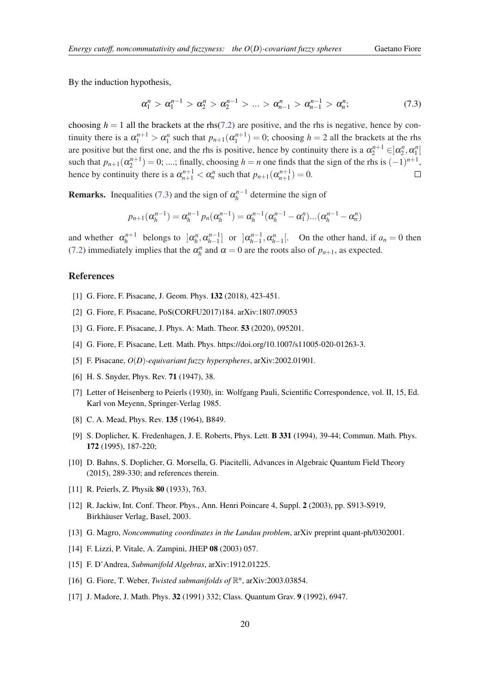<span id="page-20-0"></span>By the induction hypothesis,

$$
\alpha_1^n > \alpha_1^{n-1} > \alpha_2^n > \alpha_2^{n-1} > \ldots > \alpha_{n-1}^n > \alpha_{n-1}^{n-1} > \alpha_n^n; \qquad (7.3)
$$

choosing  $h = 1$  all the brackets at the rhs[\(7.2\)](#page-19-0) are positive, and the rhs is negative, hence by continuity there is a  $\alpha_1^{n+1} > \alpha_1^n$  such that  $p_{n+1}(\alpha_1^{n+1}) = 0$ ; choosing  $h = 2$  all the brackets at the rhs are positive but the first one, and the rhs is positive, hence by continuity there is a  $\alpha_2^{n+1} \in ]\alpha_2^n, \alpha_1^n[$ such that  $p_{n+1}(\alpha_2^{n+1}) = 0$ ; ....; finally, choosing  $h = n$  one finds that the sign of the rhs is  $(-1)^{n+1}$ , hence by continuity there is a  $\alpha_{n+1}^{n+1} < \alpha_n^n$  such that  $p_{n+1}(\alpha_{n+1}^{n+1}) = 0$ .  $\Box$ 

**Remarks.** Inequalities (7.3) and the sign of  $\alpha_h^{n-1}$  determine the sign of

$$
p_{n+1}(\alpha_n^{n-1}) = \alpha_n^{n-1} p_n(\alpha_n^{n-1}) = \alpha_n^{n-1}(\alpha_n^{n-1} - \alpha_1^n)...(\alpha_n^{n-1} - \alpha_n^n)
$$

and whether  $\alpha_h^{n+1}$  belongs to  $\alpha_h^n, \alpha_{h-1}^{n-1}$  or  $\alpha_{h-1}^{n-1}, \alpha_{h-1}^n$ . On the other hand, if  $a_n = 0$  then ([7.2\)](#page-19-0) immediately implies that the  $\alpha_h^n$  and  $\alpha = 0$  are the roots also of  $p_{n+1}$ , as expected.

#### References

- [1] G. Fiore, F. Pisacane, J. Geom. Phys. 132 (2018), 423-451.
- [2] G. Fiore, F. Pisacane, PoS(CORFU2017)184. arXiv:1807.09053
- [3] G. Fiore, F. Pisacane, J. Phys. A: Math. Theor. **53** (2020), 095201.
- [4] G. Fiore, F. Pisacane, Lett. Math. Phys. https://doi.org/10.1007/s11005-020-01263-3.
- [5] F. Pisacane, *O*(*D*)*-equivariant fuzzy hyperspheres*, arXiv:2002.01901.
- [6] H. S. Snyder, Phys. Rev. 71 (1947), 38.
- [7] Letter of Heisenberg to Peierls (1930), in: Wolfgang Pauli, Scientific Correspondence, vol. II, 15, Ed. Karl von Meyenn, Springer-Verlag 1985.
- [8] C. A. Mead, Phys. Rev. 135 (1964), B849.
- [9] S. Doplicher, K. Fredenhagen, J. E. Roberts, Phys. Lett. **B 331** (1994), 39-44; Commun. Math. Phys. 172 (1995), 187-220;
- [10] D. Bahns, S. Doplicher, G. Morsella, G. Piacitelli, Advances in Algebraic Quantum Field Theory (2015), 289-330; and references therein.
- [11] R. Peierls, Z. Physik 80 (1933), 763.
- [12] R. Jackiw, Int. Conf. Theor. Phys., Ann. Henri Poincare 4, Suppl. 2 (2003), pp. S913-S919, Birkhäuser Verlag, Basel, 2003.
- [13] G. Magro, *Noncommuting coordinates in the Landau problem*, arXiv preprint quant-ph/0302001.
- [14] F. Lizzi, P. Vitale, A. Zampini, JHEP 08 (2003) 057.
- [15] F. D'Andrea, *Submanifold Algebras*, arXiv:1912.01225.
- [16] G. Fiore, T. Weber, *Twisted submanifolds of*  $\mathbb{R}^n$ , arXiv:2003.03854.
- [17] J. Madore, J. Math. Phys. 32 (1991) 332; Class. Quantum Grav. 9 (1992), 6947.